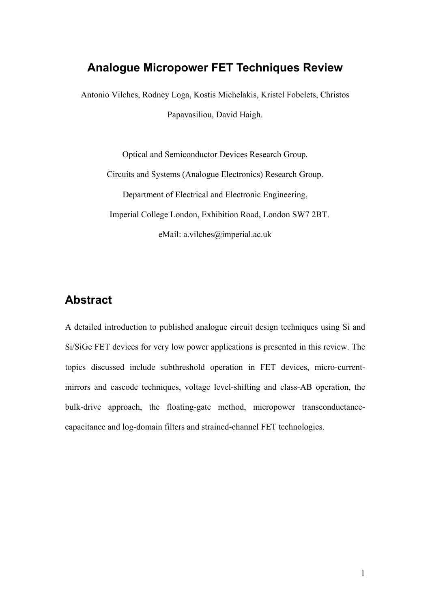# **Analogue Micropower FET Techniques Review**

Antonio Vilches, Rodney Loga, Kostis Michelakis, Kristel Fobelets, Christos Papavasiliou, David Haigh.

Optical and Semiconductor Devices Research Group. Circuits and Systems (Analogue Electronics) Research Group. Department of Electrical and Electronic Engineering, Imperial College London, Exhibition Road, London SW7 2BT. eMail: a.vilches@imperial.ac.uk

# **Abstract**

A detailed introduction to published analogue circuit design techniques using Si and Si/SiGe FET devices for very low power applications is presented in this review. The topics discussed include subthreshold operation in FET devices, micro-currentmirrors and cascode techniques, voltage level-shifting and class-AB operation, the bulk-drive approach, the floating-gate method, micropower transconductancecapacitance and log-domain filters and strained-channel FET technologies.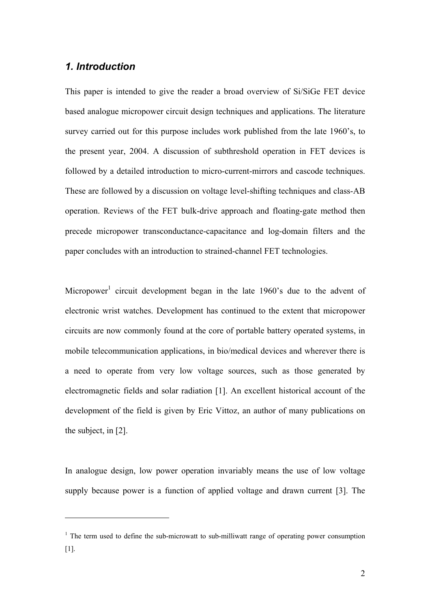#### *1. Introduction*

 $\overline{a}$ 

This paper is intended to give the reader a broad overview of Si/SiGe FET device based analogue micropower circuit design techniques and applications. The literature survey carried out for this purpose includes work published from the late 1960's, to the present year, 2004. A discussion of subthreshold operation in FET devices is followed by a detailed introduction to micro-current-mirrors and cascode techniques. These are followed by a discussion on voltage level-shifting techniques and class-AB operation. Reviews of the FET bulk-drive approach and floating-gate method then precede micropower transconductance-capacitance and log-domain filters and the paper concludes with an introduction to strained-channel FET technologies.

Micropower<sup>1</sup>circuit development began in the late 1960's due to the advent of electronic wrist watches. Development has continued to the extent that micropower circuits are now commonly found at the core of portable battery operated systems, in mobile telecommunication applications, in bio/medical devices and wherever there is a need to operate from very low voltage sources, such as those generated by electromagnetic fields and solar radiation [1]. An excellent historical account of the development of the field is given by Eric Vittoz, an author of many publications on the subject, in [2].

In analogue design, low power operation invariably means the use of low voltage supply because power is a function of applied voltage and drawn current [3]. The

<span id="page-1-0"></span><sup>&</sup>lt;sup>1</sup> The term used to define the sub-microwatt to sub-milliwatt range of operating power consumption [1].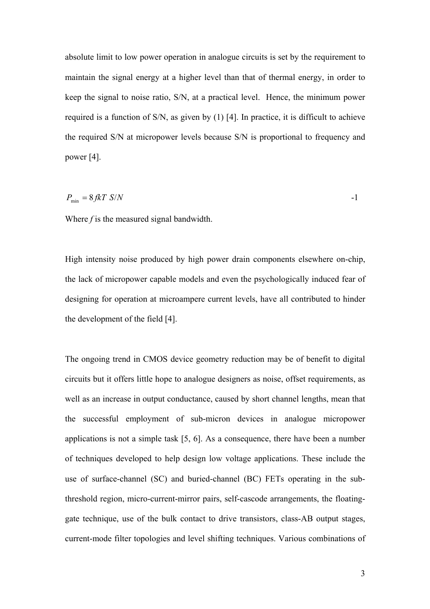absolute limit to low power operation in analogue circuits is set by the requirement to maintain the signal energy at a higher level than that of thermal energy, in order to keep the signal to noise ratio, S/N, at a practical level. Hence, the minimum power required is a function of S/N, as given by (1) [4]. In practice, it is difficult to achieve the required S/N at micropower levels because S/N is proportional to frequency and power [4].

$$
P_{\min} = 8 \text{ fk} T \text{ S/N}
$$

Where *f* is the measured signal bandwidth.

High intensity noise produced by high power drain components elsewhere on-chip, the lack of micropower capable models and even the psychologically induced fear of designing for operation at microampere current levels, have all contributed to hinder the development of the field [4].

The ongoing trend in CMOS device geometry reduction may be of benefit to digital circuits but it offers little hope to analogue designers as noise, offset requirements, as well as an increase in output conductance, caused by short channel lengths, mean that the successful employment of sub-micron devices in analogue micropower applications is not a simple task [5, 6]. As a consequence, there have been a number of techniques developed to help design low voltage applications. These include the use of surface-channel (SC) and buried-channel (BC) FETs operating in the subthreshold region, micro-current-mirror pairs, self-cascode arrangements, the floatinggate technique, use of the bulk contact to drive transistors, class-AB output stages, current-mode filter topologies and level shifting techniques. Various combinations of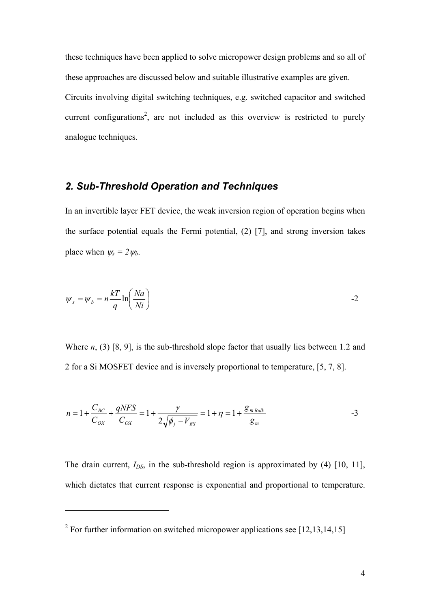these techniques have been applied to solve micropower design problems and so all of these approaches are discussed below and suitable illustrative examples are given. Circuits involving digital switching techniques, e.g. switched capacitor and switched current configurations<sup>[2](#page-3-0)</sup>, are not included as this overview is restricted to purely analogue techniques.

## *2. Sub-Threshold Operation and Techniques*

In an invertible layer FET device, the weak inversion region of operation begins when the surface potential equals the Fermi potential, (2) [7], and strong inversion takes place when  $\psi_s = 2 \psi_b$ .

$$
\psi_s = \psi_b = n \frac{kT}{q} \ln \left( \frac{Na}{Ni} \right)
$$

Where *n*, (3) [8, 9], is the sub-threshold slope factor that usually lies between 1.2 and 2 for a Si MOSFET device and is inversely proportional to temperature, [5, 7, 8].

$$
n = 1 + \frac{C_{BC}}{C_{OX}} + \frac{qNFS}{C_{OX}} = 1 + \frac{\gamma}{2\sqrt{\phi_j - V_{BS}}} = 1 + \eta = 1 + \frac{g_{m\,Bulk}}{g_m}
$$

The drain current,  $I_{DS}$ , in the sub-threshold region is approximated by (4) [10, 11], which dictates that current response is exponential and proportional to temperature.

<span id="page-3-0"></span><sup>&</sup>lt;sup>2</sup> For further information on switched micropower applications see  $[12,13,14,15]$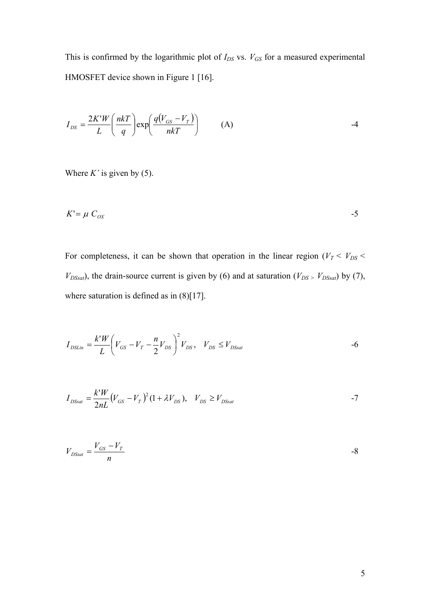This is confirmed by the logarithmic plot of  $I_{DS}$  vs.  $V_{GS}$  for a measured experimental HMOSFET device shown in Figure 1 [16].

$$
I_{DS} = \frac{2K'W}{L} \left(\frac{n k T}{q}\right) \exp\left(\frac{q(V_{GS} - V_T)}{n k T}\right) \tag{A}
$$

Where  $K'$  is given by (5).

$$
K' = \mu \ C_{OX} \tag{5}
$$

For completeness, it can be shown that operation in the linear region ( $V_T < V_{DS}$  $V_{DSsat}$ ), the drain-source current is given by (6) and at saturation ( $V_{DS}$  >  $V_{DSsat}$ ) by (7), where saturation is defined as in  $(8)[17]$ .

$$
I_{DSLin} = \frac{k'W}{L} \left( V_{GS} - V_T - \frac{n}{2} V_{DS} \right)^2 V_{DS}, \quad V_{DS} \le V_{DSsat}
$$

$$
I_{DSSat} = \frac{k'W}{2nL}(V_{GS} - V_T)^2 (1 + \lambda V_{DS}), \quad V_{DS} \ge V_{DSSat}
$$

$$
V_{DSSat} = \frac{V_{GS} - V_T}{n}
$$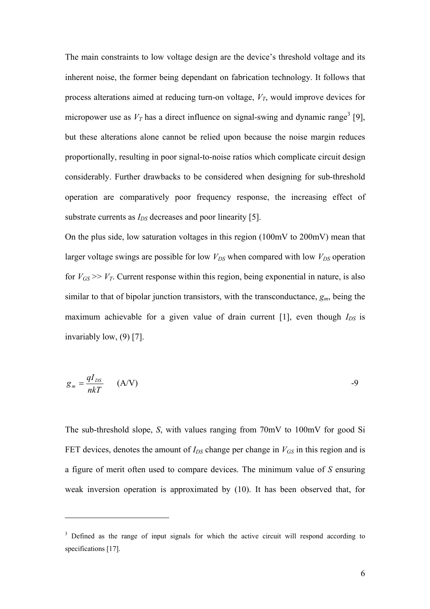The main constraints to low voltage design are the device's threshold voltage and its inherent noise, the former being dependant on fabrication technology. It follows that process alterations aimed at reducing turn-on voltage,  $V_T$ , would improve devices for micropoweruse as  $V_T$  has a direct influence on signal-swing and dynamic range<sup>3</sup> [9], but these alterations alone cannot be relied upon because the noise margin reduces proportionally, resulting in poor signal-to-noise ratios which complicate circuit design considerably. Further drawbacks to be considered when designing for sub-threshold operation are comparatively poor frequency response, the increasing effect of substrate currents as  $I_{DS}$  decreases and poor linearity [5].

On the plus side, low saturation voltages in this region (100mV to 200mV) mean that larger voltage swings are possible for low  $V_{DS}$  when compared with low  $V_{DS}$  operation for  $V_{GS} \gg V_T$ . Current response within this region, being exponential in nature, is also similar to that of bipolar junction transistors, with the transconductance,  $g_m$ , being the maximum achievable for a given value of drain current [1], even though  $I_{DS}$  is invariably low, (9) [7].

$$
g_m = \frac{qI_{DS}}{nkT} \qquad (A/V)
$$

The sub-threshold slope, *S*, with values ranging from 70mV to 100mV for good Si FET devices, denotes the amount of  $I_{DS}$  change per change in  $V_{GS}$  in this region and is a figure of merit often used to compare devices. The minimum value of *S* ensuring weak inversion operation is approximated by (10). It has been observed that, for

<span id="page-5-0"></span><sup>&</sup>lt;sup>3</sup> Defined as the range of input signals for which the active circuit will respond according to specifications [17].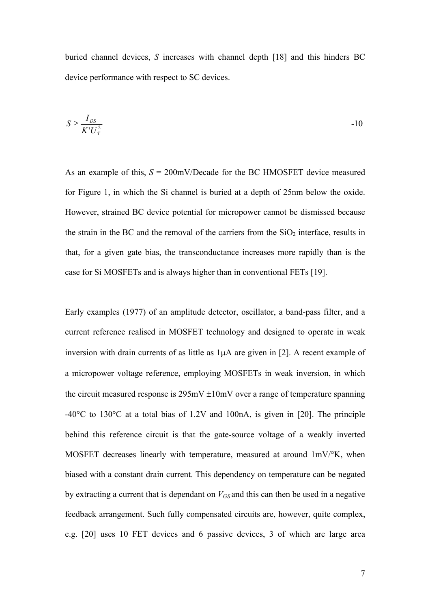buried channel devices, *S* increases with channel depth [18] and this hinders BC device performance with respect to SC devices.

$$
S \ge \frac{I_{DS}}{K' U_T^2} \tag{10}
$$

As an example of this,  $S = 200$ mV/Decade for the BC HMOSFET device measured for Figure 1, in which the Si channel is buried at a depth of 25nm below the oxide. However, strained BC device potential for micropower cannot be dismissed because the strain in the BC and the removal of the carriers from the  $SiO<sub>2</sub>$  interface, results in that, for a given gate bias, the transconductance increases more rapidly than is the case for Si MOSFETs and is always higher than in conventional FETs [19].

Early examples (1977) of an amplitude detector, oscillator, a band-pass filter, and a current reference realised in MOSFET technology and designed to operate in weak inversion with drain currents of as little as 1µA are given in [2]. A recent example of a micropower voltage reference, employing MOSFETs in weak inversion, in which the circuit measured response is  $295 \text{mV} \pm 10 \text{mV}$  over a range of temperature spanning -40°C to 130°C at a total bias of 1.2V and 100nA, is given in [20]. The principle behind this reference circuit is that the gate-source voltage of a weakly inverted MOSFET decreases linearly with temperature, measured at around 1mV/°K, when biased with a constant drain current. This dependency on temperature can be negated by extracting a current that is dependant on  $V_{GS}$  and this can then be used in a negative feedback arrangement. Such fully compensated circuits are, however, quite complex, e.g. [20] uses 10 FET devices and 6 passive devices, 3 of which are large area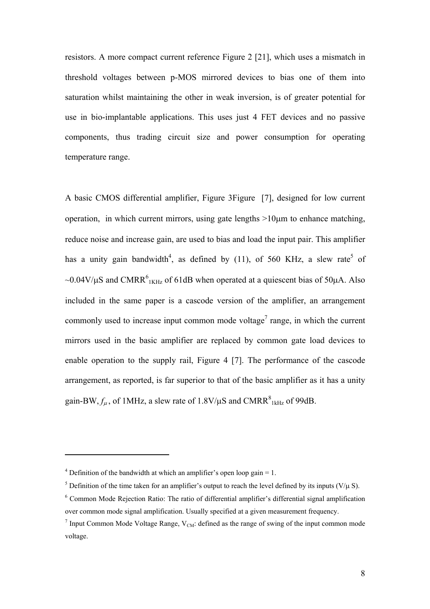resistors. A more compact current reference Figure 2 [21], which uses a mismatch in threshold voltages between p-MOS mirrored devices to bias one of them into saturation whilst maintaining the other in weak inversion, is of greater potential for use in bio-implantable applications. This uses just 4 FET devices and no passive components, thus trading circuit size and power consumption for operating temperature range.

A basic CMOS differential amplifier, [Figure](#page-44-0) 3Figure [7], designed for low current operation, in which current mirrors, using gate lengths  $>10\mu$ m to enhance matching, reduce noise and increase gain, are used to bias and load the input pair. This amplifier has a unity gain bandwidth<sup>4</sup>[,](#page-7-0)as defined by (11), of 560 KHz, a slew rate<sup>5</sup> of ~0.04V/ $\mu$ S and CMRR<sup>6</sup><sub>1KHz</sub> of 61dB when operated at a quiescent bias of 50 $\mu$ A. Also included in the same paper is a cascode version of the amplifier, an arrangement commonlyused to increase input common mode voltage<sup>7</sup> range, in which the current mirrors used in the basic amplifier are replaced by common gate load devices to enable operation to the supply rail, Figure 4 [7]. The performance of the cascode arrangement, as reported, is far superior to that of the basic amplifier as it has a unity gain-BW,  $f_{\mu}$ , of 1MHz, a slew rate of 1.8V/ $\mu$ S and CMRR $^{8}$ <sub>1kHz</sub> of 99dB.

<span id="page-7-0"></span><sup>&</sup>lt;sup>4</sup> Definition of the bandwidth at which an amplifier's open loop gain = 1.

<span id="page-7-1"></span><sup>&</sup>lt;sup>5</sup> Definition of the time taken for an amplifier's output to reach the level defined by its inputs ( $V/\mu$  S).

<span id="page-7-2"></span><sup>&</sup>lt;sup>6</sup> Common Mode Rejection Ratio: The ratio of differential amplifier's differential signal amplification over common mode signal amplification. Usually specified at a given measurement frequency.

<span id="page-7-4"></span><span id="page-7-3"></span><sup>&</sup>lt;sup>7</sup> Input Common Mode Voltage Range,  $V_{CM}$ : defined as the range of swing of the input common mode voltage.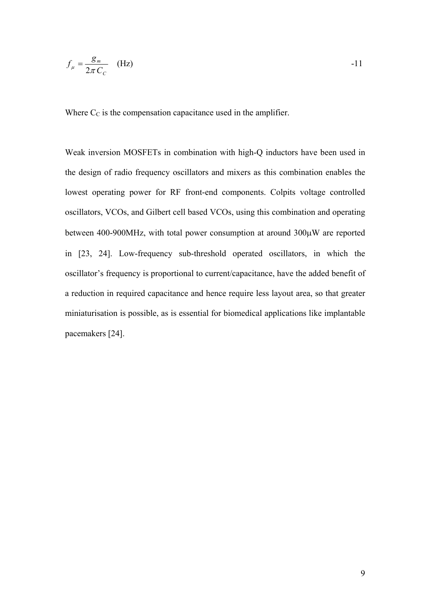$$
f_{\mu} = \frac{g_m}{2\pi C_c} \quad \text{(Hz)} \tag{Hz}
$$

Where  $C_C$  is the compensation capacitance used in the amplifier.

Weak inversion MOSFETs in combination with high-Q inductors have been used in the design of radio frequency oscillators and mixers as this combination enables the lowest operating power for RF front-end components. Colpits voltage controlled oscillators, VCOs, and Gilbert cell based VCOs, using this combination and operating between 400-900MHz, with total power consumption at around 300µW are reported in [23, 24]. Low-frequency sub-threshold operated oscillators, in which the oscillator's frequency is proportional to current/capacitance, have the added benefit of a reduction in required capacitance and hence require less layout area, so that greater miniaturisation is possible, as is essential for biomedical applications like implantable pacemakers [24].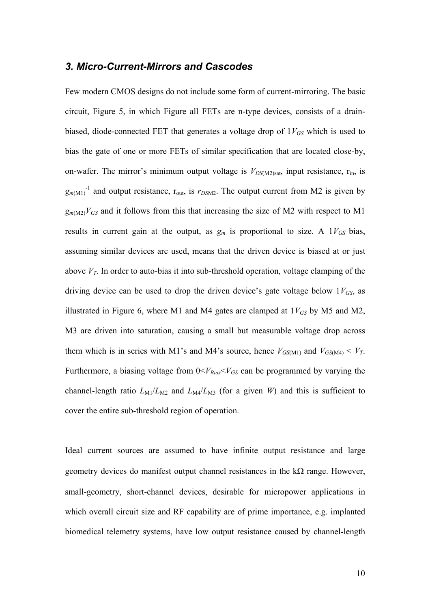#### *3. Micro-Current-Mirrors and Cascodes*

Few modern CMOS designs do not include some form of current-mirroring. The basic circuit, Figure 5, in which [Figure a](#page-44-1)ll FETs are n-type devices, consists of a drainbiased, diode-connected FET that generates a voltage drop of  $1V_{GS}$  which is used to bias the gate of one or more FETs of similar specification that are located close-by, on-wafer. The mirror's minimum output voltage is  $V_{DS(M2) sat}$ , input resistance,  $r_{in}$ , is  $g_{m(M1)}^{-1}$  and output resistance,  $r_{\text{out}}$ , is  $r_{DSM2}$ . The output current from M2 is given by  $g_{m(M2)}V_{GS}$  and it follows from this that increasing the size of M2 with respect to M1 results in current gain at the output, as  $g_m$  is proportional to size. A  $1V_{GS}$  bias, assuming similar devices are used, means that the driven device is biased at or just above  $V_T$ . In order to auto-bias it into sub-threshold operation, voltage clamping of the driving device can be used to drop the driven device's gate voltage below  $1V_{GS}$ , as illustrated in Figure 6, where M1 and M4 gates are clamped at  $1V_{GS}$  by M5 and M2, M3 are driven into saturation, causing a small but measurable voltage drop across them which is in series with M1's and M4's source, hence  $V_{GS(M1)}$  and  $V_{GS(M4)} < V_T$ . Furthermore, a biasing voltage from  $0 < V_{Bias} < V_{GS}$  can be programmed by varying the channel-length ratio  $L_{\text{M1}}/L_{\text{M2}}$  and  $L_{\text{M4}}/L_{\text{M3}}$  (for a given *W*) and this is sufficient to cover the entire sub-threshold region of operation.

Ideal current sources are assumed to have infinite output resistance and large geometry devices do manifest output channel resistances in the  $k\Omega$  range. However, small-geometry, short-channel devices, desirable for micropower applications in which overall circuit size and RF capability are of prime importance, e.g. implanted biomedical telemetry systems, have low output resistance caused by channel-length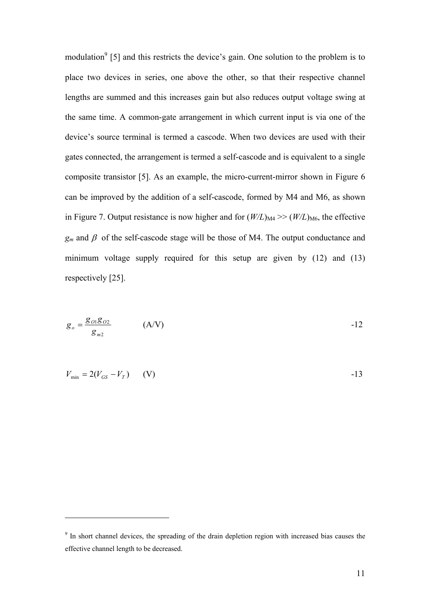modulation<sup>[9](#page-10-0)</sup> [5] and this restricts the device's gain. One solution to the problem is to place two devices in series, one above the other, so that their respective channel lengths are summed and this increases gain but also reduces output voltage swing at the same time. A common-gate arrangement in which current input is via one of the device's source terminal is termed a cascode. When two devices are used with their gates connected, the arrangement is termed a self-cascode and is equivalent to a single composite transistor [5]. As an example, the micro-current-mirror shown in Figure 6 can be improved by the addition of a self-cascode, formed by M4 and M6, as shown in Figure 7. Output resistance is now higher and for  $(W/L)_{\text{M4}} \gg (W/L)_{\text{M6}}$ , the effective  $g_m$  and  $\beta$  of the self-cascode stage will be those of M4. The output conductance and minimum voltage supply required for this setup are given by (12) and (13) respectively [25].

$$
g_o = \frac{g_{o1}g_{o2}}{g_{m2}} \tag{A/V}
$$

$$
V_{\min} = 2(V_{GS} - V_T) \qquad (V)
$$

<span id="page-10-0"></span><sup>&</sup>lt;sup>9</sup> In short channel devices, the spreading of the drain depletion region with increased bias causes the effective channel length to be decreased.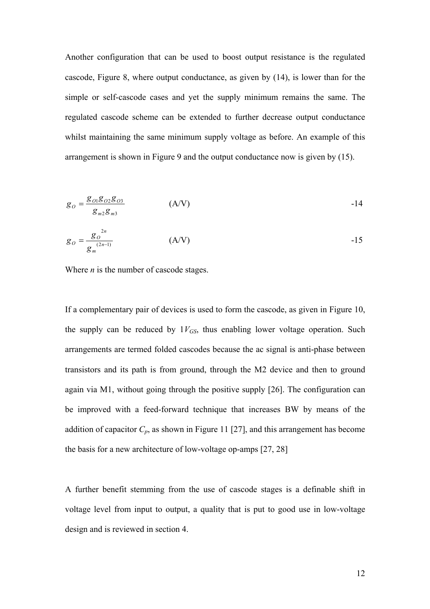Another configuration that can be used to boost output resistance is the regulated cascode, Figure 8, where output conductance, as given by (14), is lower than for the simple or self-cascode cases and yet the supply minimum remains the same. The regulated cascode scheme can be extended to further decrease output conductance whilst maintaining the same minimum supply voltage as before. An example of this arrangement is shown in Figure 9 and the output conductance now is given by (15).

$$
g_0 = \frac{g_{01}g_{02}g_{03}}{g_{m2}g_{m3}} \tag{A/V}
$$

$$
g_O = \frac{g_O^{2n}}{g_m^{(2n-1)}} \tag{A/V}
$$

Where *n* is the number of cascode stages.

If a complementary pair of devices is used to form the cascode, as given in Figure 10, the supply can be reduced by  $1V_{GS}$ , thus enabling lower voltage operation. Such arrangements are termed folded cascodes because the ac signal is anti-phase between transistors and its path is from ground, through the M2 device and then to ground again via M1, without going through the positive supply [26]. The configuration can be improved with a feed-forward technique that increases BW by means of the addition of capacitor  $C_p$ , as shown in Figure 11 [27], and this arrangement has become the basis for a new architecture of low-voltage op-amps [27, 28]

A further benefit stemming from the use of cascode stages is a definable shift in voltage level from input to output, a quality that is put to good use in low-voltage design and is reviewed in section 4.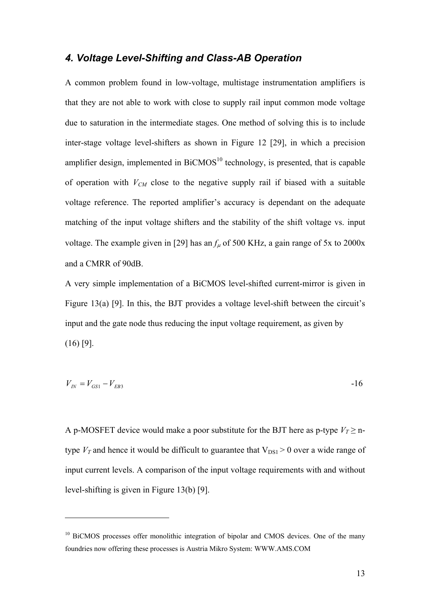#### *4. Voltage Level-Shifting and Class-AB Operation*

A common problem found in low-voltage, multistage instrumentation amplifiers is that they are not able to work with close to supply rail input common mode voltage due to saturation in the intermediate stages. One method of solving this is to include inter-stage voltage level-shifters as shown in Figure 12 [29], in which a precision amplifier design, implemented in  $BiCMOS<sup>10</sup>$  technology, is presented, that is capable of operation with  $V_{CM}$  close to the negative supply rail if biased with a suitable voltage reference. The reported amplifier's accuracy is dependant on the adequate matching of the input voltage shifters and the stability of the shift voltage vs. input voltage. The example given in [29] has an  $f_u$  of 500 KHz, a gain range of 5x to 2000x and a CMRR of 90dB.

A very simple implementation of a BiCMOS level-shifted current-mirror is given in Figure 13(a) [9]. In this, the BJT provides a voltage level-shift between the circuit's input and the gate node thus reducing the input voltage requirement, as given by  $(16)$  [9].

$$
V_{IN} = V_{GS1} - V_{EB3} \tag{16}
$$

A p-MOSFET device would make a poor substitute for the BJT here as p-type  $V_T \ge n$ type  $V_T$  and hence it would be difficult to guarantee that  $V_{DS1} > 0$  over a wide range of input current levels. A comparison of the input voltage requirements with and without level-shifting is given in Figure 13(b) [9].

<span id="page-12-0"></span><sup>&</sup>lt;sup>10</sup> BiCMOS processes offer monolithic integration of bipolar and CMOS devices. One of the many foundries now offering these processes is Austria Mikro System: WWW.AMS.COM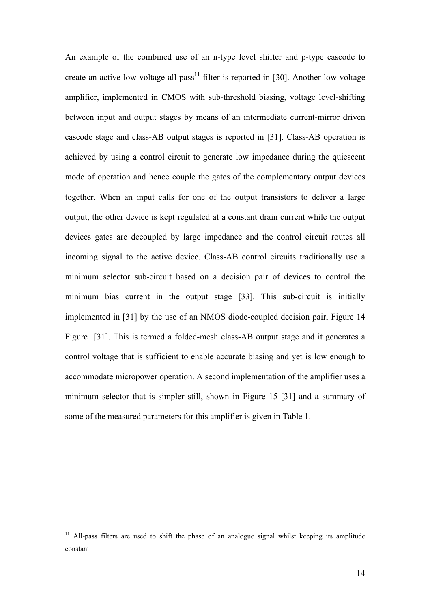An example of the combined use of an n-type level shifter and p-type cascode to createan active low-voltage all-pass<sup>11</sup> filter is reported in [30]. Another low-voltage amplifier, implemented in CMOS with sub-threshold biasing, voltage level-shifting between input and output stages by means of an intermediate current-mirror driven cascode stage and class-AB output stages is reported in [31]. Class-AB operation is achieved by using a control circuit to generate low impedance during the quiescent mode of operation and hence couple the gates of the complementary output devices together. When an input calls for one of the output transistors to deliver a large output, the other device is kept regulated at a constant drain current while the output devices gates are decoupled by large impedance and the control circuit routes all incoming signal to the active device. Class-AB control circuits traditionally use a minimum selector sub-circuit based on a decision pair of devices to control the minimum bias current in the output stage [33]. This sub-circuit is initially implemented in [31] by the use of an NMOS diode-coupled decision pair, Figure 14 [Figure](#page-44-2) [31]. This is termed a folded-mesh class-AB output stage and it generates a control voltage that is sufficient to enable accurate biasing and yet is low enough to accommodate micropower operation. A second implementation of the amplifier uses a minimum selector that is simpler still, shown in Figure 15 [31] and a summary of some of the measured parameters for this amplifier is given in Table 1.

<span id="page-13-0"></span> $11$  All-pass filters are used to shift the phase of an analogue signal whilst keeping its amplitude constant.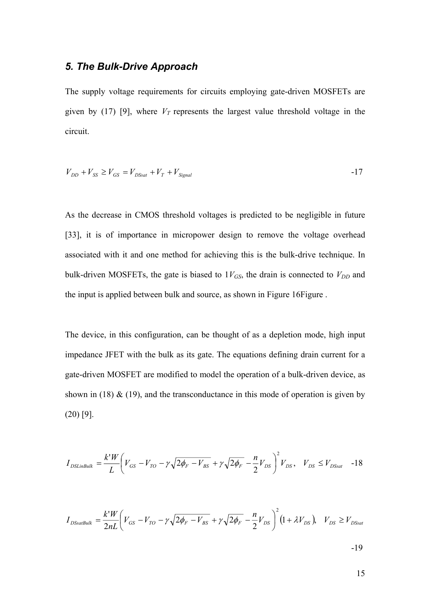### *5. The Bulk-Drive Approach*

The supply voltage requirements for circuits employing gate-driven MOSFETs are given by (17) [9], where  $V_T$  represents the largest value threshold voltage in the circuit.

$$
V_{DD} + V_{SS} \ge V_{GS} = V_{DSsat} + V_T + V_{Signal}
$$

As the decrease in CMOS threshold voltages is predicted to be negligible in future [33], it is of importance in micropower design to remove the voltage overhead associated with it and one method for achieving this is the bulk-drive technique. In bulk-driven MOSFETs, the gate is biased to  $1V_{GS}$ , the drain is connected to  $V_{DD}$  and the input is applied between bulk and source, as shown in Figure 1[6Figure .](#page-44-3)

The device, in this configuration, can be thought of as a depletion mode, high input impedance JFET with the bulk as its gate. The equations defining drain current for a gate-driven MOSFET are modified to model the operation of a bulk-driven device, as shown in (18)  $\&$  (19), and the transconductance in this mode of operation is given by (20) [9].

$$
I_{DSLink} = \frac{k'W}{L} \left( V_{GS} - V_{TO} - \gamma \sqrt{2\phi_F - V_{BS}} + \gamma \sqrt{2\phi_F} - \frac{n}{2} V_{DS} \right)^2 V_{DS}, \quad V_{DS} \le V_{DSsat} \quad -18
$$

$$
I_{DSSatBulk} = \frac{k'W}{2nL} \bigg( V_{GS} - V_{TO} - \gamma \sqrt{2\phi_F - V_{BS}} + \gamma \sqrt{2\phi_F} - \frac{n}{2} V_{DS} \bigg)^2 (1 + \lambda V_{DS}), \quad V_{DS} \ge V_{DSSat}
$$
  
-19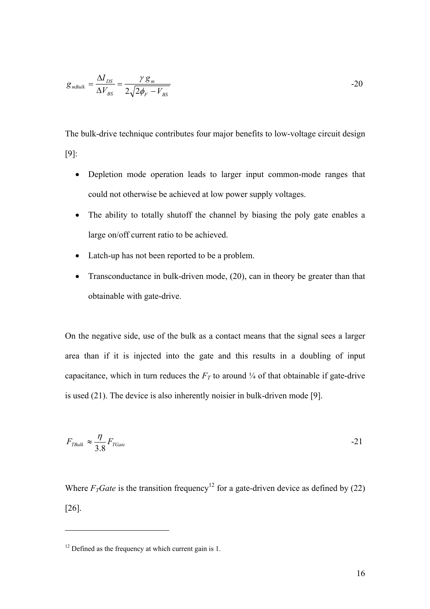$$
g_{mBulk} = \frac{\Delta I_{DS}}{\Delta V_{BS}} = \frac{\gamma g_m}{2\sqrt{2\phi_F - V_{BS}}}
$$

The bulk-drive technique contributes four major benefits to low-voltage circuit design [9]:

- Depletion mode operation leads to larger input common-mode ranges that could not otherwise be achieved at low power supply voltages.
- The ability to totally shutoff the channel by biasing the poly gate enables a large on/off current ratio to be achieved.
- Latch-up has not been reported to be a problem.
- Transconductance in bulk-driven mode, (20), can in theory be greater than that obtainable with gate-drive.

On the negative side, use of the bulk as a contact means that the signal sees a larger area than if it is injected into the gate and this results in a doubling of input capacitance, which in turn reduces the  $F_T$  to around  $\frac{1}{4}$  of that obtainable if gate-drive is used (21). The device is also inherently noisier in bulk-driven mode [9].

$$
F_{\text{TBulk}} \approx \frac{\eta}{3.8} F_{\text{TGate}} \tag{21}
$$

Where $F_T$ *Gate* is the transition frequency<sup>12</sup> for a gate-driven device as defined by (22) [26].

<span id="page-15-0"></span> $12$  Defined as the frequency at which current gain is 1.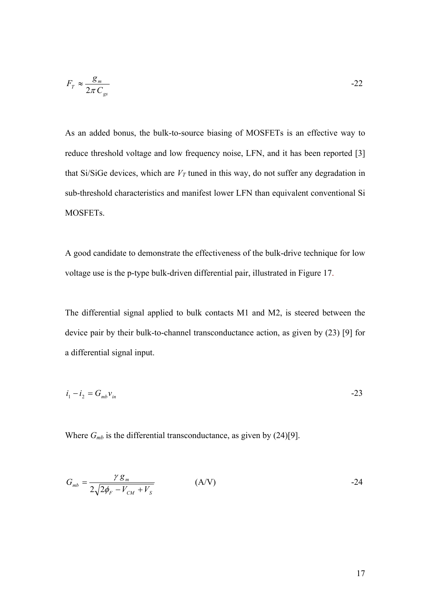$$
F_T \approx \frac{g_m}{2\pi C_{gs}} \tag{22}
$$

As an added bonus, the bulk-to-source biasing of MOSFETs is an effective way to reduce threshold voltage and low frequency noise, LFN, and it has been reported [3] that Si/SiGe devices, which are  $V_T$  tuned in this way, do not suffer any degradation in sub-threshold characteristics and manifest lower LFN than equivalent conventional Si MOSFETs.

A good candidate to demonstrate the effectiveness of the bulk-drive technique for low voltage use is the p-type bulk-driven differential pair, illustrated in Figure 17.

The differential signal applied to bulk contacts M1 and M2, is steered between the device pair by their bulk-to-channel transconductance action, as given by (23) [9] for a differential signal input.

$$
i_1 - i_2 = G_{mb} v_{in}
$$

Where  $G_{mb}$  is the differential transconductance, as given by  $(24)[9]$ .

$$
G_{mb} = \frac{\gamma g_m}{2\sqrt{2\phi_F - V_{CM} + V_s}}
$$
 (A/V) -24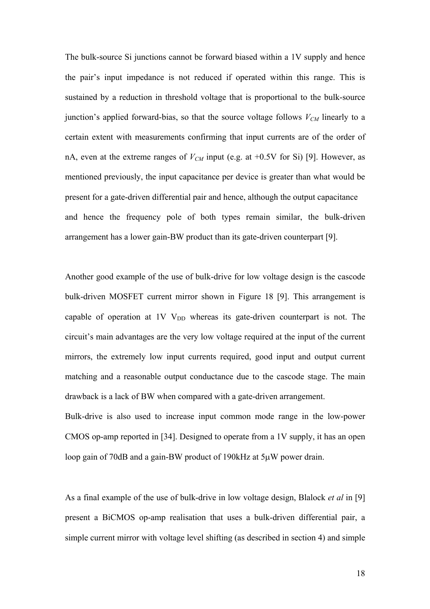The bulk-source Si junctions cannot be forward biased within a 1V supply and hence the pair's input impedance is not reduced if operated within this range. This is sustained by a reduction in threshold voltage that is proportional to the bulk-source junction's applied forward-bias, so that the source voltage follows  $V_{CM}$  linearly to a certain extent with measurements confirming that input currents are of the order of nA, even at the extreme ranges of  $V_{CM}$  input (e.g. at  $+0.5V$  for Si) [9]. However, as mentioned previously, the input capacitance per device is greater than what would be present for a gate-driven differential pair and hence, although the output capacitance and hence the frequency pole of both types remain similar, the bulk-driven arrangement has a lower gain-BW product than its gate-driven counterpart [9].

Another good example of the use of bulk-drive for low voltage design is the cascode bulk-driven MOSFET current mirror shown in Figure 18 [9]. This arrangement is capable of operation at 1V  $V_{DD}$  whereas its gate-driven counterpart is not. The circuit's main advantages are the very low voltage required at the input of the current mirrors, the extremely low input currents required, good input and output current matching and a reasonable output conductance due to the cascode stage. The main drawback is a lack of BW when compared with a gate-driven arrangement.

Bulk-drive is also used to increase input common mode range in the low-power CMOS op-amp reported in [34]. Designed to operate from a 1V supply, it has an open loop gain of 70dB and a gain-BW product of 190kHz at 5µW power drain.

As a final example of the use of bulk-drive in low voltage design, Blalock *et al* in [9] present a BiCMOS op-amp realisation that uses a bulk-driven differential pair, a simple current mirror with voltage level shifting (as described in section 4) and simple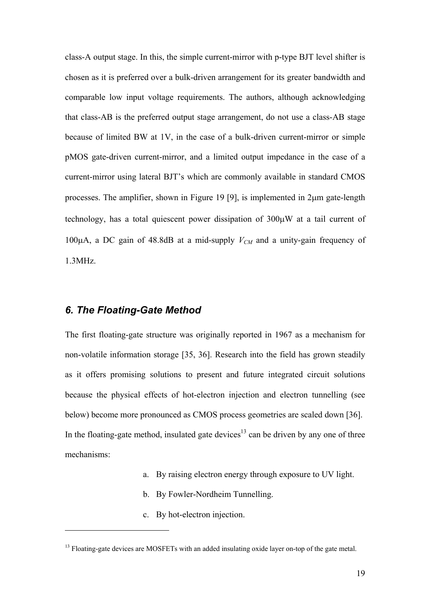class-A output stage. In this, the simple current-mirror with p-type BJT level shifter is chosen as it is preferred over a bulk-driven arrangement for its greater bandwidth and comparable low input voltage requirements. The authors, although acknowledging that class-AB is the preferred output stage arrangement, do not use a class-AB stage because of limited BW at 1V, in the case of a bulk-driven current-mirror or simple pMOS gate-driven current-mirror, and a limited output impedance in the case of a current-mirror using lateral BJT's which are commonly available in standard CMOS processes. The amplifier, shown in Figure 19 [9], is implemented in 2µm gate-length technology, has a total quiescent power dissipation of 300µW at a tail current of 100 $\mu$ A, a DC gain of 48.8dB at a mid-supply  $V_{CM}$  and a unity-gain frequency of 1.3MHz.

#### *6. The Floating-Gate Method*

 $\overline{a}$ 

The first floating-gate structure was originally reported in 1967 as a mechanism for non-volatile information storage [35, 36]. Research into the field has grown steadily as it offers promising solutions to present and future integrated circuit solutions because the physical effects of hot-electron injection and electron tunnelling (see below) become more pronounced as CMOS process geometries are scaled down [36]. In the floating-gate method, insulated gate devices<sup>13</sup> can be driven by any one of three mechanisms:

- a. By raising electron energy through exposure to UV light.
- b. By Fowler-Nordheim Tunnelling.
- c. By hot-electron injection.

<span id="page-18-0"></span><sup>&</sup>lt;sup>13</sup> Floating-gate devices are MOSFETs with an added insulating oxide layer on-top of the gate metal.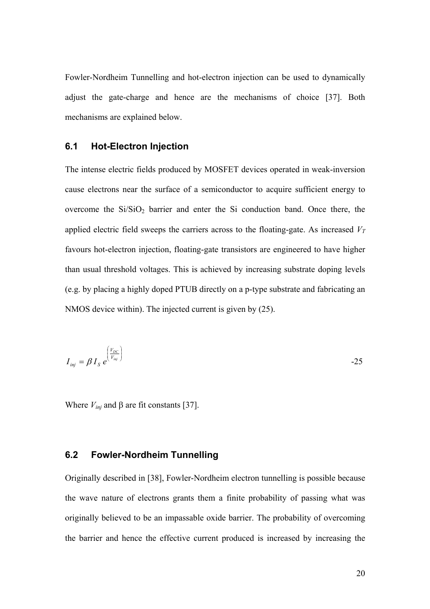Fowler-Nordheim Tunnelling and hot-electron injection can be used to dynamically adjust the gate-charge and hence are the mechanisms of choice [37]. Both mechanisms are explained below.

#### **6.1 Hot-Electron Injection**

The intense electric fields produced by MOSFET devices operated in weak-inversion cause electrons near the surface of a semiconductor to acquire sufficient energy to overcome the  $Si/SiO<sub>2</sub>$  barrier and enter the Si conduction band. Once there, the applied electric field sweeps the carriers across to the floating-gate. As increased *V T* favours hot-electron injection, floating-gate transistors are engineered to have higher than usual threshold voltages. This is achieved by increasing substrate doping levels (e.g. by placing a highly doped PTUB directly on a p-type substrate and fabricating an NMOS device within). The injected current is given by (25).

$$
I_{\text{inj}} = \beta I_{\text{S}} e^{\left(\frac{V_{\text{DC}}}{V_{\text{inj}}}\right)}
$$

Where  $V_{inj}$  and  $\beta$  are fit constants [37].

#### **6.2 Fowler-Nordheim Tunnelling**

Originally described in [38], Fowler-Nordheim electron tunnelling is possible because the wave nature of electrons grants them a finite probability of passing what was originally believed to be an impassable oxide barrier. The probability of overcoming the barrier and hence the effective current produced is increased by increasing the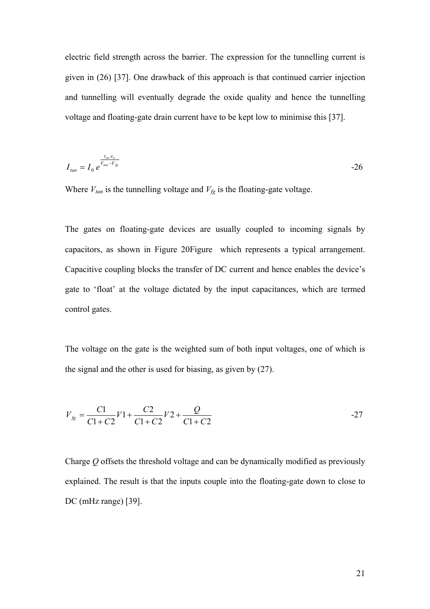electric field strength across the barrier. The expression for the tunnelling current is given in (26) [37]. One drawback of this approach is that continued carrier injection and tunnelling will eventually degrade the oxide quality and hence the tunnelling voltage and floating-gate drain current have to be kept low to minimise this [37].

$$
I_{\rm tan} = I_0 e^{\frac{t_{\rm ox} \varepsilon_o}{V_{\rm tan} - V_{\rm fg}}} \tag{26}
$$

Where  $V_{\text{tun}}$  is the tunnelling voltage and  $V_{\text{fg}}$  is the floating-gate voltage.

The gates on floating-gate devices are usually coupled to incoming signals by capacitors, as shown in Figure 2[0Figure](#page-45-0) which represents a typical arrangement. Capacitive coupling blocks the transfer of DC current and hence enables the device's gate to 'float' at the voltage dictated by the input capacitances, which are termed control gates.

The voltage on the gate is the weighted sum of both input voltages, one of which is the signal and the other is used for biasing, as given by (27).

$$
V_{fg} = \frac{C1}{C1 + C2}V1 + \frac{C2}{C1 + C2}V2 + \frac{Q}{C1 + C2}
$$

Charge *Q* offsets the threshold voltage and can be dynamically modified as previously explained. The result is that the inputs couple into the floating-gate down to close to DC (mHz range) [39].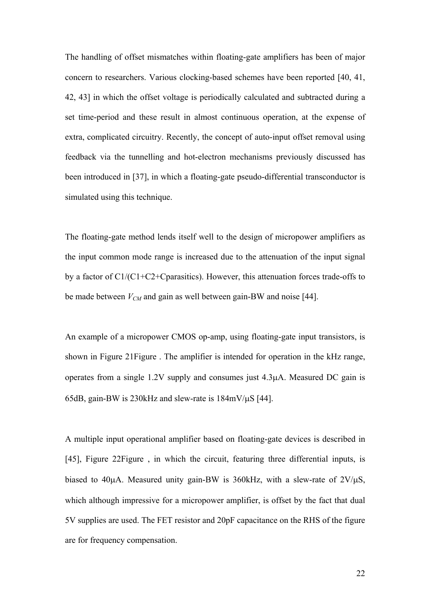The handling of offset mismatches within floating-gate amplifiers has been of major concern to researchers. Various clocking-based schemes have been reported [40, 41, 42, 43] in which the offset voltage is periodically calculated and subtracted during a set time-period and these result in almost continuous operation, at the expense of extra, complicated circuitry. Recently, the concept of auto-input offset removal using feedback via the tunnelling and hot-electron mechanisms previously discussed has been introduced in [37], in which a floating-gate pseudo-differential transconductor is simulated using this technique.

The floating-gate method lends itself well to the design of micropower amplifiers as the input common mode range is increased due to the attenuation of the input signal by a factor of C1/(C1+C2+Cparasitics). However, this attenuation forces trade-offs to be made between  $V_{CM}$  and gain as well between gain-BW and noise [44].

An example of a micropower CMOS op-amp, using floating-gate input transistors, is shown in Figure 2[1Figure .](#page-45-1) The amplifier is intended for operation in the kHz range, operates from a single 1.2V supply and consumes just 4.3µA. Measured DC gain is 65dB, gain-BW is 230kHz and slew-rate is 184mV/µS [44].

A multiple input operational amplifier based on floating-gate devices is described in [45], Figure 2[2Figure ,](#page-45-2) in which the circuit, featuring three differential inputs, is biased to 40 $\mu$ A. Measured unity gain-BW is 360 $k$ Hz, with a slew-rate of 2V/ $\mu$ S, which although impressive for a micropower amplifier, is offset by the fact that dual 5V supplies are used. The FET resistor and 20pF capacitance on the RHS of the figure are for frequency compensation.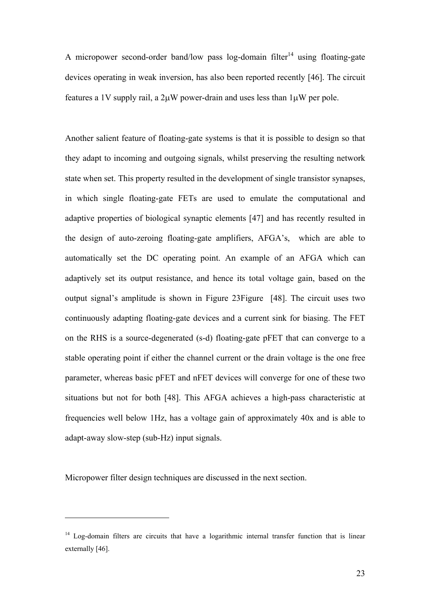Amicropower second-order band/low pass log-domain filter<sup>14</sup> using floating-gate devices operating in weak inversion, has also been reported recently [46]. The circuit features a 1V supply rail, a  $2\mu$ W power-drain and uses less than  $1\mu$ W per pole.

Another salient feature of floating-gate systems is that it is possible to design so that they adapt to incoming and outgoing signals, whilst preserving the resulting network state when set. This property resulted in the development of single transistor synapses, in which single floating-gate FETs are used to emulate the computational and adaptive properties of biological synaptic elements [47] and has recently resulted in the design of auto-zeroing floating-gate amplifiers, AFGA's, which are able to automatically set the DC operating point. An example of an AFGA which can adaptively set its output resistance, and hence its total voltage gain, based on the output signal's amplitude is shown in [Figure](#page-45-3) 23 Figure [48]. The circuit uses two continuously adapting floating-gate devices and a current sink for biasing. The FET on the RHS is a source-degenerated (s-d) floating-gate pFET that can converge to a stable operating point if either the channel current or the drain voltage is the one free parameter, whereas basic pFET and nFET devices will converge for one of these two situations but not for both [48]. This AFGA achieves a high-pass characteristic at frequencies well below 1Hz, has a voltage gain of approximately 40x and is able to adapt-away slow-step (sub-Hz) input signals.

Micropower filter design techniques are discussed in the next section.

<span id="page-22-0"></span><sup>&</sup>lt;sup>14</sup> Log-domain filters are circuits that have a logarithmic internal transfer function that is linear externally [46].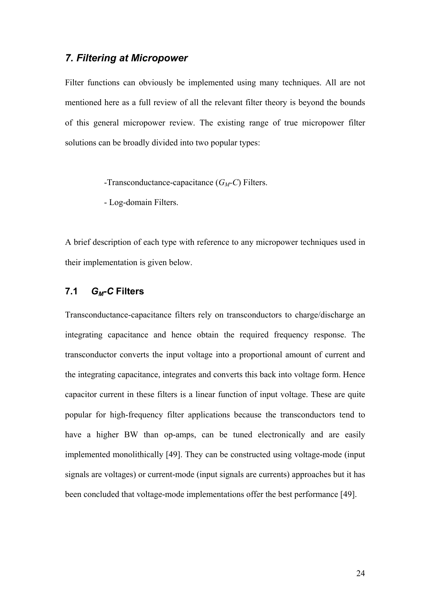#### *7. Filtering at Micropower*

Filter functions can obviously be implemented using many techniques. All are not mentioned here as a full review of all the relevant filter theory is beyond the bounds of this general micropower review. The existing range of true micropower filter solutions can be broadly divided into two popular types:

-Transconductance-capacitance (*GM-C*) Filters.

- Log-domain Filters.

A brief description of each type with reference to any micropower techniques used in their implementation is given below.

#### **7.1** *GM-C* **Filters**

Transconductance-capacitance filters rely on transconductors to charge/discharge an integrating capacitance and hence obtain the required frequency response. The transconductor converts the input voltage into a proportional amount of current and the integrating capacitance, integrates and converts this back into voltage form. Hence capacitor current in these filters is a linear function of input voltage. These are quite popular for high-frequency filter applications because the transconductors tend to have a higher BW than op-amps, can be tuned electronically and are easily implemented monolithically [49]. They can be constructed using voltage-mode (input signals are voltages) or current-mode (input signals are currents) approaches but it has been concluded that voltage-mode implementations offer the best performance [49].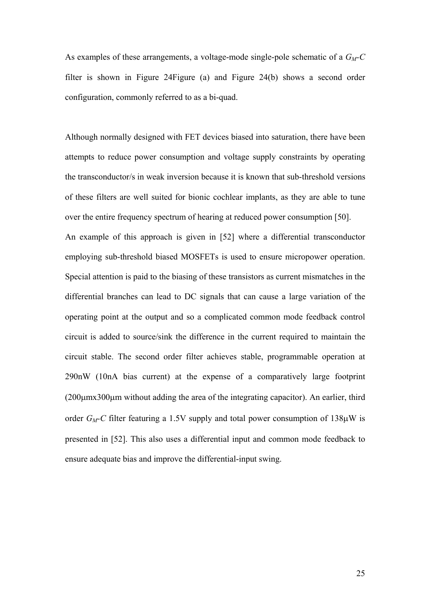As examples of these arrangements, a voltage-mode single-pole schematic of a  $G_M-C$ filter is shown in [Figure](#page-45-4) 24 Figure (a) and Figure  $24(b)$  shows a second order configuration, commonly referred to as a bi-quad.

Although normally designed with FET devices biased into saturation, there have been attempts to reduce power consumption and voltage supply constraints by operating the transconductor/s in weak inversion because it is known that sub-threshold versions of these filters are well suited for bionic cochlear implants, as they are able to tune over the entire frequency spectrum of hearing at reduced power consumption [50]. An example of this approach is given in [52] where a differential transconductor employing sub-threshold biased MOSFETs is used to ensure micropower operation. Special attention is paid to the biasing of these transistors as current mismatches in the differential branches can lead to DC signals that can cause a large variation of the operating point at the output and so a complicated common mode feedback control circuit is added to source/sink the difference in the current required to maintain the circuit stable. The second order filter achieves stable, programmable operation at 290nW (10nA bias current) at the expense of a comparatively large footprint (200µmx300µm without adding the area of the integrating capacitor). An earlier, third order *GM-C* filter featuring a 1.5V supply and total power consumption of 138µW is presented in [52]. This also uses a differential input and common mode feedback to ensure adequate bias and improve the differential-input swing.

25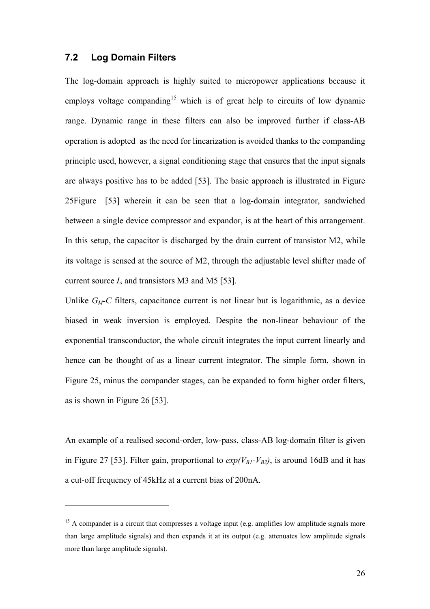#### **7.2 Log Domain Filters**

 $\overline{a}$ 

The log-domain approach is highly suited to micropower applications because it employs voltage companding<sup>15</sup> which is of great help to circuits of low dynamic range. Dynamic range in these filters can also be improved further if class-AB operation is adopted as the need for linearization is avoided thanks to the companding principle used, however, a signal conditioning stage that ensures that the input signals are always positive has to be added [53]. The basic approach is illustrated in Figure 2[5Figure](#page-45-5) [53] wherein it can be seen that a log-domain integrator, sandwiched between a single device compressor and expandor, is at the heart of this arrangement. In this setup, the capacitor is discharged by the drain current of transistor M2, while its voltage is sensed at the source of M2, through the adjustable level shifter made of current source *Io* and transistors M3 and M5 [53].

Unlike  $G_M$ -C filters, capacitance current is not linear but is logarithmic, as a device biased in weak inversion is employed. Despite the non-linear behaviour of the exponential transconductor, the whole circuit integrates the input current linearly and hence can be thought of as a linear current integrator. The simple form, shown in Figure 25, minus the compander stages, can be expanded to form higher order filters, as is shown in Figure 26 [53].

An example of a realised second-order, low-pass, class-AB log-domain filter is given in Figure 27 [53]. Filter gain, proportional to  $exp(V_{B1} - V_{B2})$ , is around 16dB and it has a cut-off frequency of 45kHz at a current bias of 200nA.

<span id="page-25-0"></span><sup>&</sup>lt;sup>15</sup> A compander is a circuit that compresses a voltage input (e.g. amplifies low amplitude signals more than large amplitude signals) and then expands it at its output (e.g. attenuates low amplitude signals more than large amplitude signals).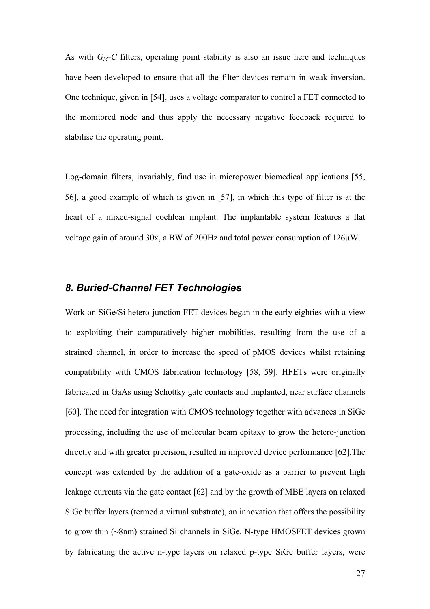As with  $G_M$ -C filters, operating point stability is also an issue here and techniques have been developed to ensure that all the filter devices remain in weak inversion. One technique, given in [54], uses a voltage comparator to control a FET connected to the monitored node and thus apply the necessary negative feedback required to stabilise the operating point.

Log-domain filters, invariably, find use in micropower biomedical applications [55, 56], a good example of which is given in [57], in which this type of filter is at the heart of a mixed-signal cochlear implant. The implantable system features a flat voltage gain of around 30x, a BW of 200Hz and total power consumption of 126µW.

#### *8. Buried-Channel FET Technologies*

Work on SiGe/Si hetero-junction FET devices began in the early eighties with a view to exploiting their comparatively higher mobilities, resulting from the use of a strained channel, in order to increase the speed of pMOS devices whilst retaining compatibility with CMOS fabrication technology [58, 59]. HFETs were originally fabricated in GaAs using Schottky gate contacts and implanted, near surface channels [60]. The need for integration with CMOS technology together with advances in SiGe processing, including the use of molecular beam epitaxy to grow the hetero-junction directly and with greater precision, resulted in improved device performance [62].The concept was extended by the addition of a gate-oxide as a barrier to prevent high leakage currents via the gate contact [62] and by the growth of MBE layers on relaxed SiGe buffer layers (termed a virtual substrate), an innovation that offers the possibility to grow thin (~8nm) strained Si channels in SiGe. N-type HMOSFET devices grown by fabricating the active n-type layers on relaxed p-type SiGe buffer layers, were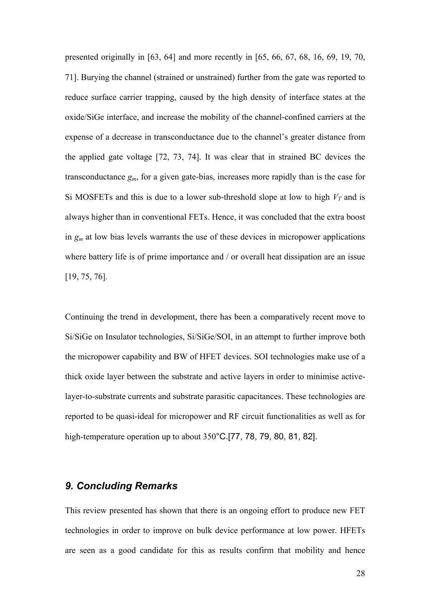presented originally in [63, 64] and more recently in [65, 66, 67, 68, 16, 69, 19, 70, 71]. Burying the channel (strained or unstrained) further from the gate was reported to reduce surface carrier trapping, caused by the high density of interface states at the oxide/SiGe interface, and increase the mobility of the channel-confined carriers at the expense of a decrease in transconductance due to the channel's greater distance from the applied gate voltage [72, 73, 74]. It was clear that in strained BC devices the transconductance *gm*, for a given gate-bias, increases more rapidly than is the case for Si MOSFETs and this is due to a lower sub-threshold slope at low to high  $V_T$  and is always higher than in conventional FETs. Hence, it was concluded that the extra boost in *gm* at low bias levels warrants the use of these devices in micropower applications where battery life is of prime importance and / or overall heat dissipation are an issue [19, 75, 76].

Continuing the trend in development, there has been a comparatively recent move to Si/SiGe on Insulator technologies, Si/SiGe/SOI, in an attempt to further improve both the micropower capability and BW of HFET devices. SOI technologies make use of a thick oxide layer between the substrate and active layers in order to minimise activelayer-to-substrate currents and substrate parasitic capacitances. These technologies are reported to be quasi-ideal for micropower and RF circuit functionalities as well as for high-temperature operation up to about 350°C.[77, 78, 79, 80, 81, 82].

### *9. Concluding Remarks*

This review presented has shown that there is an ongoing effort to produce new FET technologies in order to improve on bulk device performance at low power. HFETs are seen as a good candidate for this as results confirm that mobility and hence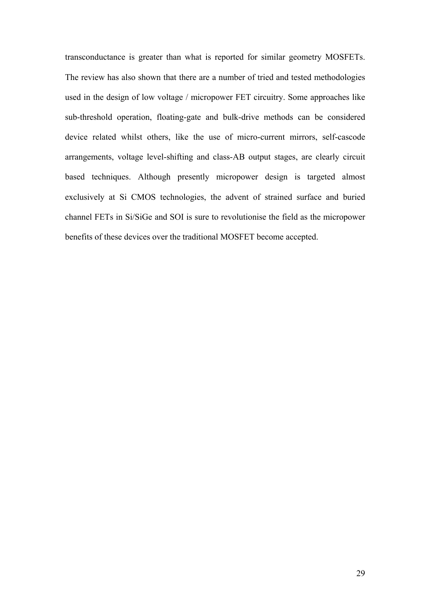transconductance is greater than what is reported for similar geometry MOSFETs. The review has also shown that there are a number of tried and tested methodologies used in the design of low voltage / micropower FET circuitry. Some approaches like sub-threshold operation, floating-gate and bulk-drive methods can be considered device related whilst others, like the use of micro-current mirrors, self-cascode arrangements, voltage level-shifting and class-AB output stages, are clearly circuit based techniques. Although presently micropower design is targeted almost exclusively at Si CMOS technologies, the advent of strained surface and buried channel FETs in Si/SiGe and SOI is sure to revolutionise the field as the micropower benefits of these devices over the traditional MOSFET become accepted.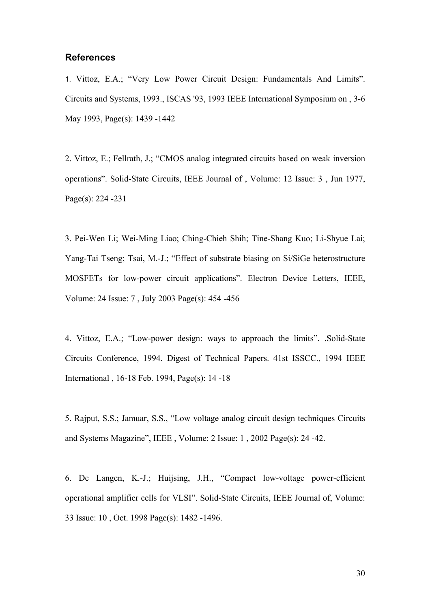#### **References**

1. Vittoz, E.A.; "Very Low Power Circuit Design: Fundamentals And Limits". Circuits and Systems, 1993., ISCAS '93, 1993 IEEE International Symposium on , 3-6 May 1993, Page(s): 1439 -1442

2. Vittoz, E.; Fellrath, J.; "CMOS analog integrated circuits based on weak inversion operations". Solid-State Circuits, IEEE Journal of , Volume: 12 Issue: 3 , Jun 1977, Page(s): 224 -231

3. Pei-Wen Li; Wei-Ming Liao; Ching-Chieh Shih; Tine-Shang Kuo; Li-Shyue Lai; Yang-Tai Tseng; Tsai, M.-J.; "Effect of substrate biasing on Si/SiGe heterostructure MOSFETs for low-power circuit applications". Electron Device Letters, IEEE, Volume: 24 Issue: 7 , July 2003 Page(s): 454 -456

4. Vittoz, E.A.; "Low-power design: ways to approach the limits". .Solid-State Circuits Conference, 1994. Digest of Technical Papers. 41st ISSCC., 1994 IEEE International , 16-18 Feb. 1994, Page(s): 14 -18

5. Rajput, S.S.; Jamuar, S.S., "Low voltage analog circuit design techniques Circuits and Systems Magazine", IEEE , Volume: 2 Issue: 1 , 2002 Page(s): 24 -42.

6. De Langen, K.-J.; Huijsing, J.H., "Compact low-voltage power-efficient operational amplifier cells for VLSI". Solid-State Circuits, IEEE Journal of, Volume: 33 Issue: 10 , Oct. 1998 Page(s): 1482 -1496.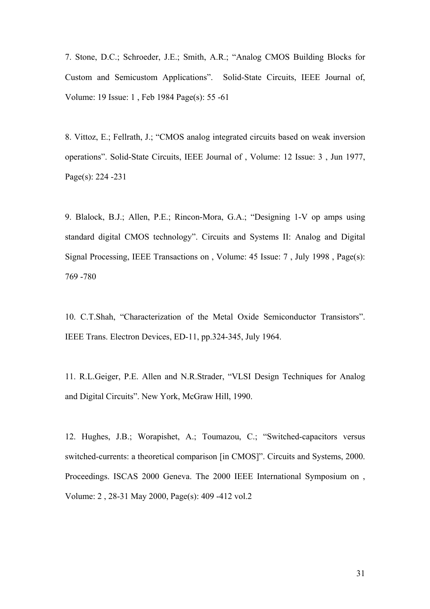7. Stone, D.C.; Schroeder, J.E.; Smith, A.R.; "Analog CMOS Building Blocks for Custom and Semicustom Applications". Solid-State Circuits, IEEE Journal of, Volume: 19 Issue: 1 , Feb 1984 Page(s): 55 -61

8. Vittoz, E.; Fellrath, J.; "CMOS analog integrated circuits based on weak inversion operations". Solid-State Circuits, IEEE Journal of , Volume: 12 Issue: 3 , Jun 1977, Page(s): 224 -231

9. Blalock, B.J.; Allen, P.E.; Rincon-Mora, G.A.; "Designing 1-V op amps using standard digital CMOS technology". Circuits and Systems II: Analog and Digital Signal Processing, IEEE Transactions on , Volume: 45 Issue: 7 , July 1998 , Page(s): 769 -780

10. C.T.Shah, "Characterization of the Metal Oxide Semiconductor Transistors". IEEE Trans. Electron Devices, ED-11, pp.324-345, July 1964.

11. R.L.Geiger, P.E. Allen and N.R.Strader, "VLSI Design Techniques for Analog and Digital Circuits". New York, McGraw Hill, 1990.

12. Hughes, J.B.; Worapishet, A.; Toumazou, C.; "Switched-capacitors versus switched-currents: a theoretical comparison [in CMOS]". Circuits and Systems, 2000. Proceedings. ISCAS 2000 Geneva. The 2000 IEEE International Symposium on , Volume: 2 , 28-31 May 2000, Page(s): 409 -412 vol.2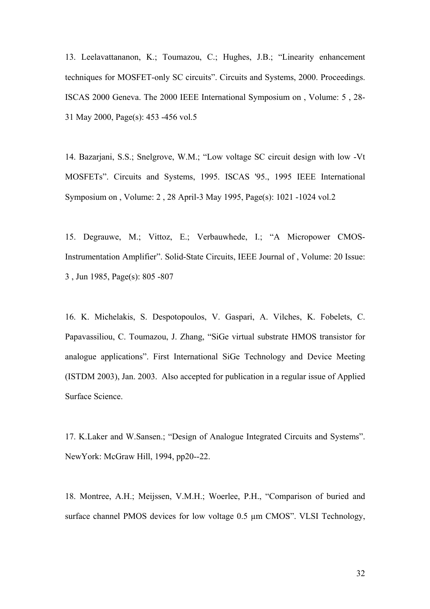13. Leelavattananon, K.; Toumazou, C.; Hughes, J.B.; "Linearity enhancement techniques for MOSFET-only SC circuits". Circuits and Systems, 2000. Proceedings. ISCAS 2000 Geneva. The 2000 IEEE International Symposium on , Volume: 5 , 28- 31 May 2000, Page(s): 453 -456 vol.5

14. Bazarjani, S.S.; Snelgrove, W.M.; "Low voltage SC circuit design with low -Vt MOSFETs". Circuits and Systems, 1995. ISCAS '95., 1995 IEEE International Symposium on , Volume: 2 , 28 April-3 May 1995, Page(s): 1021 -1024 vol.2

15. Degrauwe, M.; Vittoz, E.; Verbauwhede, I.; "A Micropower CMOS-Instrumentation Amplifier". Solid-State Circuits, IEEE Journal of , Volume: 20 Issue: 3 , Jun 1985, Page(s): 805 -807

16. K. Michelakis, S. Despotopoulos, V. Gaspari, A. Vilches, K. Fobelets, C. Papavassiliou, C. Toumazou, J. Zhang, "SiGe virtual substrate HMOS transistor for analogue applications". First International SiGe Technology and Device Meeting (ISTDM 2003), Jan. 2003. Also accepted for publication in a regular issue of Applied Surface Science.

17. K.Laker and W.Sansen.; "Design of Analogue Integrated Circuits and Systems". NewYork: McGraw Hill, 1994, pp20--22.

18. Montree, A.H.; Meijssen, V.M.H.; Woerlee, P.H., "Comparison of buried and surface channel PMOS devices for low voltage 0.5  $\mu$ m CMOS". VLSI Technology,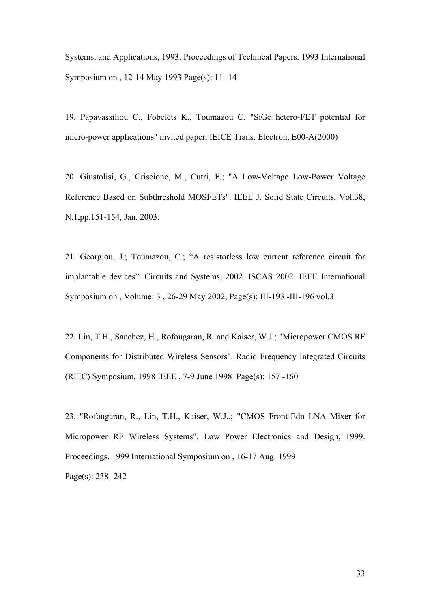Systems, and Applications, 1993. Proceedings of Technical Papers. 1993 International Symposium on , 12-14 May 1993 Page(s): 11 -14

19. Papavassiliou C., Fobelets K., Toumazou C. "SiGe hetero-FET potential for micro-power applications" invited paper, IEICE Trans. Electron, E00-A(2000)

20. Giustolisi, G., Criscione, M., Cutri, F.; "A Low-Voltage Low-Power Voltage Reference Based on Subthreshold MOSFETs". IEEE J. Solid State Circuits, Vol.38, N.1,pp.151-154, Jan. 2003.

21. Georgiou, J.; Toumazou, C.; "A resistorless low current reference circuit for implantable devices". Circuits and Systems, 2002. ISCAS 2002. IEEE International Symposium on , Volume: 3 , 26-29 May 2002, Page(s): III-193 -III-196 vol.3

22. Lin, T.H., Sanchez, H., Rofougaran, R. and Kaiser, W.J.; "Micropower CMOS RF Components for Distributed Wireless Sensors". Radio Frequency Integrated Circuits (RFIC) Symposium, 1998 IEEE , 7-9 June 1998 Page(s): 157 -160

23. "Rofougaran, R., Lin, T.H., Kaiser, W.J..; "CMOS Front-Edn LNA Mixer for Micropower RF Wireless Systems". Low Power Electronics and Design, 1999. Proceedings. 1999 International Symposium on , 16-17 Aug. 1999 Page(s): 238 -242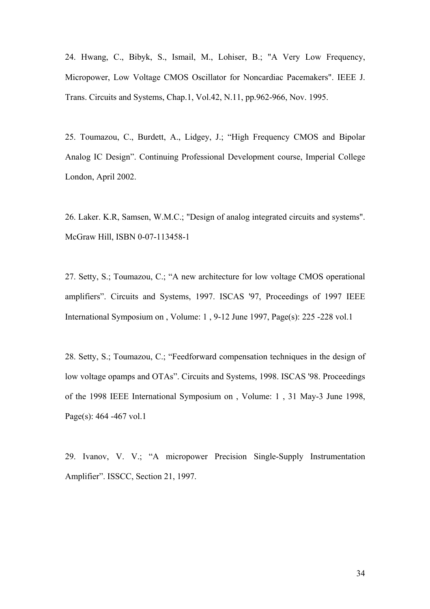24. Hwang, C., Bibyk, S., Ismail, M., Lohiser, B.; "A Very Low Frequency, Micropower, Low Voltage CMOS Oscillator for Noncardiac Pacemakers". IEEE J. Trans. Circuits and Systems, Chap.1, Vol.42, N.11, pp.962-966, Nov. 1995.

25. Toumazou, C., Burdett, A., Lidgey, J.; "High Frequency CMOS and Bipolar Analog IC Design". Continuing Professional Development course, Imperial College London, April 2002.

26. Laker. K.R, Samsen, W.M.C.; "Design of analog integrated circuits and systems". McGraw Hill, ISBN 0-07-113458-1

27. Setty, S.; Toumazou, C.; "A new architecture for low voltage CMOS operational amplifiers". Circuits and Systems, 1997. ISCAS '97, Proceedings of 1997 IEEE International Symposium on , Volume: 1 , 9-12 June 1997, Page(s): 225 -228 vol.1

28. Setty, S.; Toumazou, C.; "Feedforward compensation techniques in the design of low voltage opamps and OTAs". Circuits and Systems, 1998. ISCAS '98. Proceedings of the 1998 IEEE International Symposium on , Volume: 1 , 31 May-3 June 1998, Page(s): 464 -467 vol.1

29. Ivanov, V. V.; "A micropower Precision Single-Supply Instrumentation Amplifier". ISSCC, Section 21, 1997.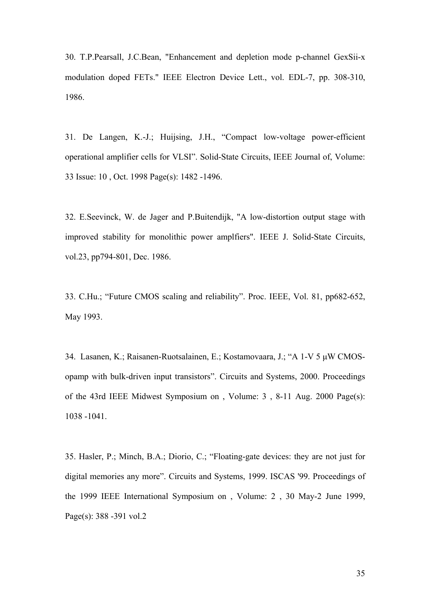30. T.P.Pearsall, J.C.Bean, "Enhancement and depletion mode p-channel GexSii-x modulation doped FETs." IEEE Electron Device Lett., vol. EDL-7, pp. 308-310, 1986.

31. De Langen, K.-J.; Huijsing, J.H., "Compact low-voltage power-efficient operational amplifier cells for VLSI". Solid-State Circuits, IEEE Journal of, Volume: 33 Issue: 10 , Oct. 1998 Page(s): 1482 -1496.

32. E.Seevinck, W. de Jager and P.Buitendijk, "A low-distortion output stage with improved stability for monolithic power amplfiers". IEEE J. Solid-State Circuits, vol.23, pp794-801, Dec. 1986.

33. C.Hu.; "Future CMOS scaling and reliability". Proc. IEEE, Vol. 81, pp682-652, May 1993.

34. Lasanen, K.; Raisanen-Ruotsalainen, E.; Kostamovaara, J.; "A 1-V 5 µW CMOSopamp with bulk-driven input transistors". Circuits and Systems, 2000. Proceedings of the 43rd IEEE Midwest Symposium on , Volume: 3 , 8-11 Aug. 2000 Page(s): 1038 -1041.

35. Hasler, P.; Minch, B.A.; Diorio, C.; "Floating-gate devices: they are not just for digital memories any more". Circuits and Systems, 1999. ISCAS '99. Proceedings of the 1999 IEEE International Symposium on , Volume: 2 , 30 May-2 June 1999, Page(s): 388 -391 vol.2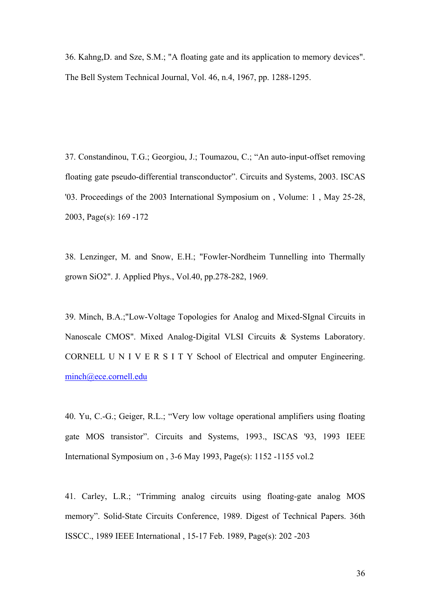36. Kahng,D. and Sze, S.M.; "A floating gate and its application to memory devices". The Bell System Technical Journal, Vol. 46, n.4, 1967, pp. 1288-1295.

37. Constandinou, T.G.; Georgiou, J.; Toumazou, C.; "An auto-input-offset removing floating gate pseudo-differential transconductor". Circuits and Systems, 2003. ISCAS '03. Proceedings of the 2003 International Symposium on , Volume: 1 , May 25-28, 2003, Page(s): 169 -172

38. Lenzinger, M. and Snow, E.H.; "Fowler-Nordheim Tunnelling into Thermally grown SiO2". J. Applied Phys., Vol.40, pp.278-282, 1969.

39. Minch, B.A.;"Low-Voltage Topologies for Analog and Mixed-SIgnal Circuits in Nanoscale CMOS". Mixed Analog-Digital VLSI Circuits & Systems Laboratory. CORNELL U N I V E R S I T Y School of Electrical and omputer Engineering. [minch@ece.cornell.edu](mailto:minch@ece.cornell.edu)

40. Yu, C.-G.; Geiger, R.L.; "Very low voltage operational amplifiers using floating gate MOS transistor". Circuits and Systems, 1993., ISCAS '93, 1993 IEEE International Symposium on , 3-6 May 1993, Page(s): 1152 -1155 vol.2

41. Carley, L.R.; "Trimming analog circuits using floating-gate analog MOS memory". Solid-State Circuits Conference, 1989. Digest of Technical Papers. 36th ISSCC., 1989 IEEE International , 15-17 Feb. 1989, Page(s): 202 -203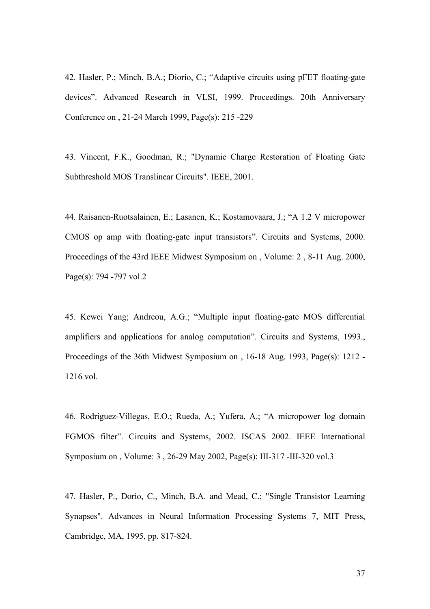42. Hasler, P.; Minch, B.A.; Diorio, C.; "Adaptive circuits using pFET floating-gate devices". Advanced Research in VLSI, 1999. Proceedings. 20th Anniversary Conference on , 21-24 March 1999, Page(s): 215 -229

43. Vincent, F.K., Goodman, R.; "Dynamic Charge Restoration of Floating Gate Subthreshold MOS Translinear Circuits". IEEE, 2001.

44. Raisanen-Ruotsalainen, E.; Lasanen, K.; Kostamovaara, J.; "A 1.2 V micropower CMOS op amp with floating-gate input transistors". Circuits and Systems, 2000. Proceedings of the 43rd IEEE Midwest Symposium on , Volume: 2 , 8-11 Aug. 2000, Page(s): 794 -797 vol.2

45. Kewei Yang; Andreou, A.G.; "Multiple input floating-gate MOS differential amplifiers and applications for analog computation". Circuits and Systems, 1993., Proceedings of the 36th Midwest Symposium on , 16-18 Aug. 1993, Page(s): 1212 - 1216 vol.

46. Rodriguez-Villegas, E.O.; Rueda, A.; Yufera, A.; "A micropower log domain FGMOS filter". Circuits and Systems, 2002. ISCAS 2002. IEEE International Symposium on , Volume: 3 , 26-29 May 2002, Page(s): III-317 -III-320 vol.3

47. Hasler, P., Dorio, C., Minch, B.A. and Mead, C.; "Single Transistor Learning Synapses". Advances in Neural Information Processing Systems 7, MIT Press, Cambridge, MA, 1995, pp. 817-824.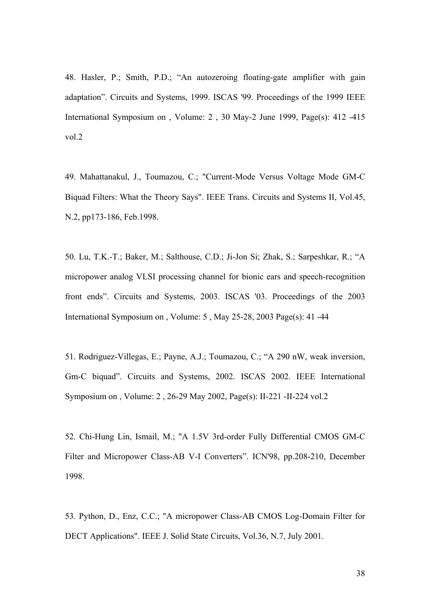48. Hasler, P.; Smith, P.D.; "An autozeroing floating-gate amplifier with gain adaptation". Circuits and Systems, 1999. ISCAS '99. Proceedings of the 1999 IEEE International Symposium on , Volume: 2 , 30 May-2 June 1999, Page(s): 412 -415 vol.2

49. Mahattanakul, J., Toumazou, C.; "Current-Mode Versus Voltage Mode GM-C Biquad Filters: What the Theory Says". IEEE Trans. Circuits and Systems II, Vol.45, N.2, pp173-186, Feb.1998.

50. Lu, T.K.-T.; Baker, M.; Salthouse, C.D.; Ji-Jon Si; Zhak, S.; Sarpeshkar, R.; "A micropower analog VLSI processing channel for bionic ears and speech-recognition front ends". Circuits and Systems, 2003. ISCAS '03. Proceedings of the 2003 International Symposium on , Volume: 5 , May 25-28, 2003 Page(s): 41 -44

51. Rodriguez-Villegas, E.; Payne, A.J.; Toumazou, C.; "A 290 nW, weak inversion, Gm-C biquad". Circuits and Systems, 2002. ISCAS 2002. IEEE International Symposium on , Volume: 2 , 26-29 May 2002, Page(s): II-221 -II-224 vol.2

52. Chi-Hung Lin, Ismail, M.; "A 1.5V 3rd-order Fully Differential CMOS GM-C Filter and Micropower Class-AB V-I Converters". ICN'98, pp.208-210, December 1998.

53. Python, D., Enz, C.C.; "A micropower Class-AB CMOS Log-Domain Filter for DECT Applications". IEEE J. Solid State Circuits, Vol.36, N.7, July 2001.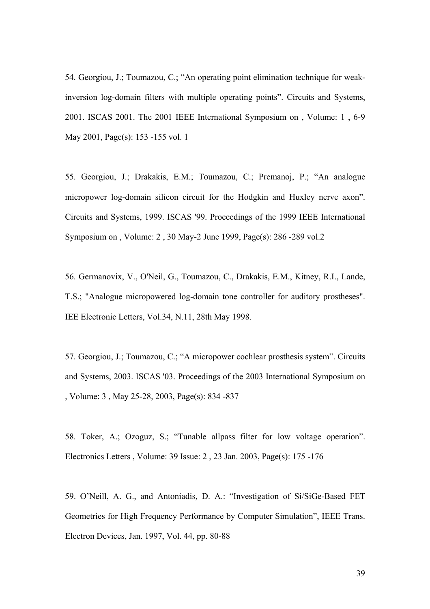54. Georgiou, J.; Toumazou, C.; "An operating point elimination technique for weakinversion log-domain filters with multiple operating points". Circuits and Systems, 2001. ISCAS 2001. The 2001 IEEE International Symposium on , Volume: 1 , 6-9 May 2001, Page(s): 153 -155 vol. 1

55. Georgiou, J.; Drakakis, E.M.; Toumazou, C.; Premanoj, P.; "An analogue micropower log-domain silicon circuit for the Hodgkin and Huxley nerve axon". Circuits and Systems, 1999. ISCAS '99. Proceedings of the 1999 IEEE International Symposium on , Volume: 2 , 30 May-2 June 1999, Page(s): 286 -289 vol.2

56. Germanovix, V., O'Neil, G., Toumazou, C., Drakakis, E.M., Kitney, R.I., Lande, T.S.; "Analogue micropowered log-domain tone controller for auditory prostheses". IEE Electronic Letters, Vol.34, N.11, 28th May 1998.

57. Georgiou, J.; Toumazou, C.; "A micropower cochlear prosthesis system". Circuits and Systems, 2003. ISCAS '03. Proceedings of the 2003 International Symposium on , Volume: 3 , May 25-28, 2003, Page(s): 834 -837

58. Toker, A.; Ozoguz, S.; "Tunable allpass filter for low voltage operation". Electronics Letters , Volume: 39 Issue: 2 , 23 Jan. 2003, Page(s): 175 -176

59. O'Neill, A. G., and Antoniadis, D. A.: "Investigation of Si/SiGe-Based FET Geometries for High Frequency Performance by Computer Simulation", IEEE Trans. Electron Devices, Jan. 1997, Vol. 44, pp. 80-88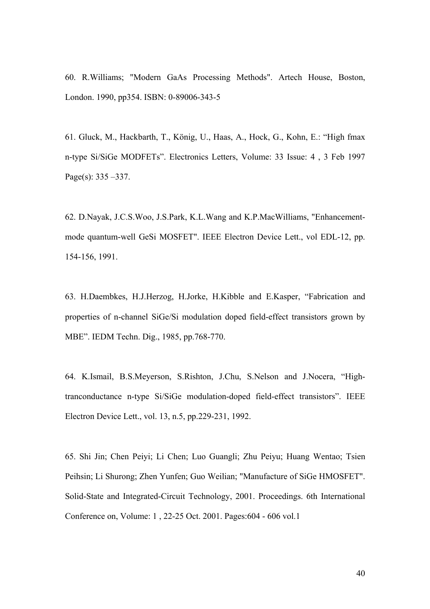60. R.Williams; "Modern GaAs Processing Methods". Artech House, Boston, London. 1990, pp354. ISBN: 0-89006-343-5

61. Gluck, M., Hackbarth, T., König, U., Haas, A., Hock, G., Kohn, E.: "High fmax n-type Si/SiGe MODFETs". Electronics Letters, Volume: 33 Issue: 4 , 3 Feb 1997 Page(s): 335 –337.

62. D.Nayak, J.C.S.Woo, J.S.Park, K.L.Wang and K.P.MacWilliams, "Enhancementmode quantum-well GeSi MOSFET". IEEE Electron Device Lett., vol EDL-12, pp. 154-156, 1991.

63. H.Daembkes, H.J.Herzog, H.Jorke, H.Kibble and E.Kasper, "Fabrication and properties of n-channel SiGe/Si modulation doped field-effect transistors grown by MBE". IEDM Techn. Dig., 1985, pp.768-770.

64. K.Ismail, B.S.Meyerson, S.Rishton, J.Chu, S.Nelson and J.Nocera, "Hightranconductance n-type Si/SiGe modulation-doped field-effect transistors". IEEE Electron Device Lett., vol. 13, n.5, pp.229-231, 1992.

65. Shi Jin; Chen Peiyi; Li Chen; Luo Guangli; Zhu Peiyu; Huang Wentao; Tsien Peihsin; Li Shurong; Zhen Yunfen; Guo Weilian; "Manufacture of SiGe HMOSFET". Solid-State and Integrated-Circuit Technology, 2001. Proceedings. 6th International Conference on, Volume: 1 , 22-25 Oct. 2001. Pages:604 - 606 vol.1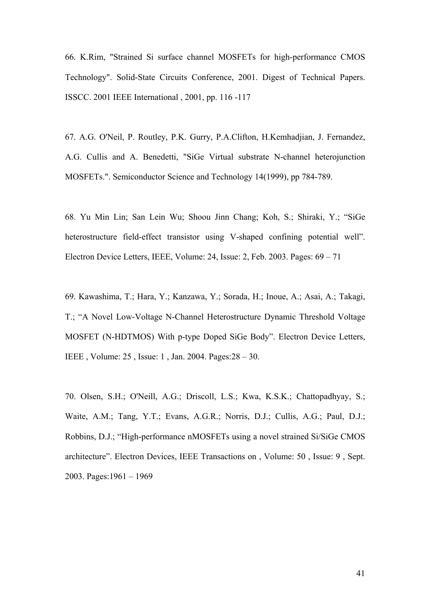66. K.Rim, "Strained Si surface channel MOSFETs for high-performance CMOS Technology". Solid-State Circuits Conference, 2001. Digest of Technical Papers. ISSCC. 2001 IEEE International , 2001, pp. 116 -117

67. A.G. O'Neil, P. Routley, P.K. Gurry, P.A.Clifton, H.Kemhadjian, J. Fernandez, A.G. Cullis and A. Benedetti, "SiGe Virtual substrate N-channel heterojunction MOSFETs.". Semiconductor Science and Technology 14(1999), pp 784-789.

68. Yu Min Lin; San Lein Wu; Shoou Jinn Chang; Koh, S.; Shiraki, Y.; "SiGe heterostructure field-effect transistor using V-shaped confining potential well". Electron Device Letters, IEEE, Volume: 24, Issue: 2, Feb. 2003. Pages: 69 – 71

69. Kawashima, T.; Hara, Y.; Kanzawa, Y.; Sorada, H.; Inoue, A.; Asai, A.; Takagi, T.; "A Novel Low-Voltage N-Channel Heterostructure Dynamic Threshold Voltage MOSFET (N-HDTMOS) With p-type Doped SiGe Body". Electron Device Letters, IEEE , Volume: 25 , Issue: 1 , Jan. 2004. Pages:28 – 30.

70. Olsen, S.H.; O'Neill, A.G.; Driscoll, L.S.; Kwa, K.S.K.; Chattopadhyay, S.; Waite, A.M.; Tang, Y.T.; Evans, A.G.R.; Norris, D.J.; Cullis, A.G.; Paul, D.J.; Robbins, D.J.; "High-performance nMOSFETs using a novel strained Si/SiGe CMOS architecture". Electron Devices, IEEE Transactions on , Volume: 50 , Issue: 9 , Sept. 2003. Pages:1961 – 1969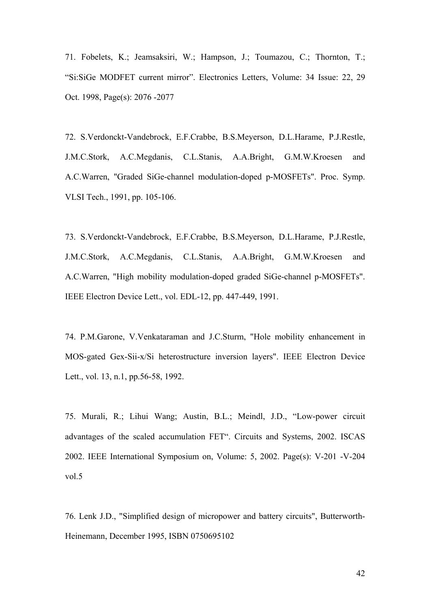71. Fobelets, K.; Jeamsaksiri, W.; Hampson, J.; Toumazou, C.; Thornton, T.; "Si:SiGe MODFET current mirror". Electronics Letters, Volume: 34 Issue: 22, 29 Oct. 1998, Page(s): 2076 -2077

72. S.Verdonckt-Vandebrock, E.F.Crabbe, B.S.Meyerson, D.L.Harame, P.J.Restle, J.M.C.Stork, A.C.Megdanis, C.L.Stanis, A.A.Bright, G.M.W.Kroesen and A.C.Warren, "Graded SiGe-channel modulation-doped p-MOSFETs". Proc. Symp. VLSI Tech., 1991, pp. 105-106.

73. S.Verdonckt-Vandebrock, E.F.Crabbe, B.S.Meyerson, D.L.Harame, P.J.Restle, J.M.C.Stork, A.C.Megdanis, C.L.Stanis, A.A.Bright, G.M.W.Kroesen and A.C.Warren, "High mobility modulation-doped graded SiGe-channel p-MOSFETs". IEEE Electron Device Lett., vol. EDL-12, pp. 447-449, 1991.

74. P.M.Garone, V.Venkataraman and J.C.Sturm, "Hole mobility enhancement in MOS-gated Gex-Sii-x/Si heterostructure inversion layers". IEEE Electron Device Lett., vol. 13, n.1, pp.56-58, 1992.

75. Murali, R.; Lihui Wang; Austin, B.L.; Meindl, J.D., "Low-power circuit advantages of the scaled accumulation FET". Circuits and Systems, 2002. ISCAS 2002. IEEE International Symposium on, Volume: 5, 2002. Page(s): V-201 -V-204 vol.5

76. Lenk J.D., "Simplified design of micropower and battery circuits", Butterworth-Heinemann, December 1995, ISBN 0750695102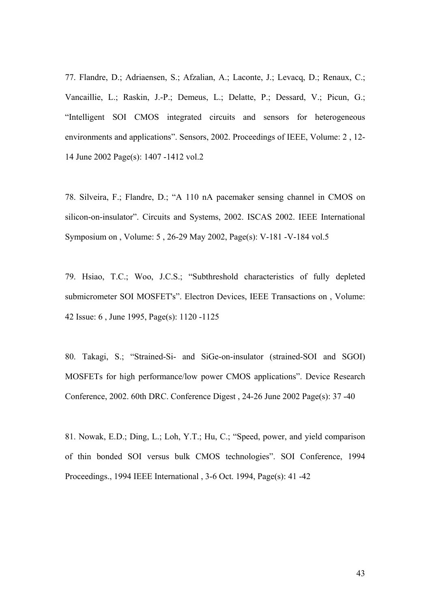77. Flandre, D.; Adriaensen, S.; Afzalian, A.; Laconte, J.; Levacq, D.; Renaux, C.; Vancaillie, L.; Raskin, J.-P.; Demeus, L.; Delatte, P.; Dessard, V.; Picun, G.; "Intelligent SOI CMOS integrated circuits and sensors for heterogeneous environments and applications". Sensors, 2002. Proceedings of IEEE, Volume: 2 , 12- 14 June 2002 Page(s): 1407 -1412 vol.2

78. Silveira, F.; Flandre, D.; "A 110 nA pacemaker sensing channel in CMOS on silicon-on-insulator". Circuits and Systems, 2002. ISCAS 2002. IEEE International Symposium on , Volume: 5 , 26-29 May 2002, Page(s): V-181 -V-184 vol.5

79. Hsiao, T.C.; Woo, J.C.S.; "Subthreshold characteristics of fully depleted submicrometer SOI MOSFET's". Electron Devices, IEEE Transactions on , Volume: 42 Issue: 6 , June 1995, Page(s): 1120 -1125

80. Takagi, S.; "Strained-Si- and SiGe-on-insulator (strained-SOI and SGOI) MOSFETs for high performance/low power CMOS applications". Device Research Conference, 2002. 60th DRC. Conference Digest , 24-26 June 2002 Page(s): 37 -40

81. Nowak, E.D.; Ding, L.; Loh, Y.T.; Hu, C.; "Speed, power, and yield comparison of thin bonded SOI versus bulk CMOS technologies". SOI Conference, 1994 Proceedings., 1994 IEEE International , 3-6 Oct. 1994, Page(s): 41 -42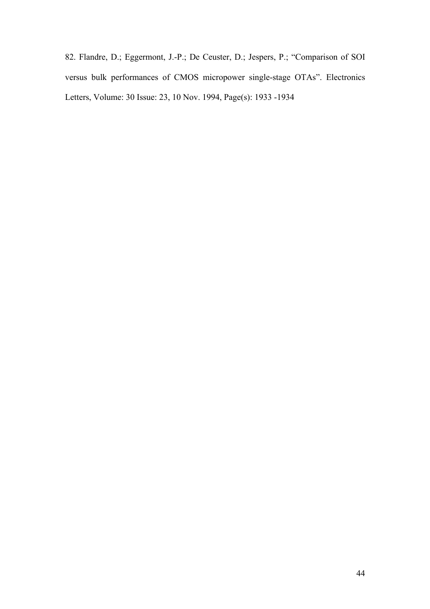82. Flandre, D.; Eggermont, J.-P.; De Ceuster, D.; Jespers, P.; "Comparison of SOI versus bulk performances of CMOS micropower single-stage OTAs". Electronics Letters, Volume: 30 Issue: 23, 10 Nov. 1994, Page(s): 1933 -1934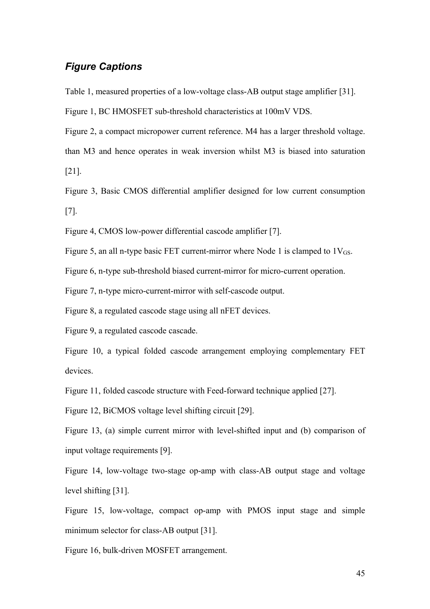#### *Figure Captions*

Table 1, measured properties of a low-voltage class-AB output stage amplifier [31].

Figure 1, BC HMOSFET sub-threshold characteristics at 100mV VDS.

Figure 2, a compact micropower current reference. M4 has a larger threshold voltage.

than M3 and hence operates in weak inversion whilst M3 is biased into saturation

[21].

Figure 3, Basic CMOS differential amplifier designed for low current consumption [7].

Figure 4, CMOS low-power differential cascode amplifier [7].

Figure 5, an all n-type basic FET current-mirror where Node 1 is clamped to  $1V_{GS}$ .

Figure 6, n-type sub-threshold biased current-mirror for micro-current operation.

Figure 7, n-type micro-current-mirror with self-cascode output.

Figure 8, a regulated cascode stage using all nFET devices.

Figure 9, a regulated cascode cascade.

Figure 10, a typical folded cascode arrangement employing complementary FET devices.

Figure 11, folded cascode structure with Feed-forward technique applied [27].

Figure 12, BiCMOS voltage level shifting circuit [29].

Figure 13, (a) simple current mirror with level-shifted input and (b) comparison of input voltage requirements [9].

Figure 14, low-voltage two-stage op-amp with class-AB output stage and voltage level shifting [31].

Figure 15, low-voltage, compact op-amp with PMOS input stage and simple minimum selector for class-AB output [31].

Figure 16, bulk-driven MOSFET arrangement.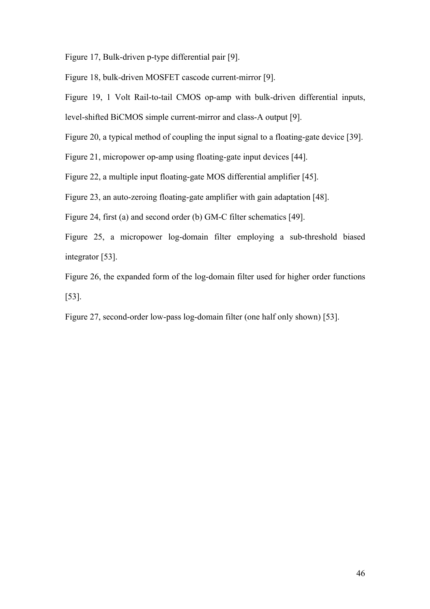Figure 17, Bulk-driven p-type differential pair [9].

Figure 18, bulk-driven MOSFET cascode current-mirror [9].

Figure 19, 1 Volt Rail-to-tail CMOS op-amp with bulk-driven differential inputs,

level-shifted BiCMOS simple current-mirror and class-A output [9].

Figure 20, a typical method of coupling the input signal to a floating-gate device [39].

Figure 21, micropower op-amp using floating-gate input devices [44].

Figure 22, a multiple input floating-gate MOS differential amplifier [45].

Figure 23, an auto-zeroing floating-gate amplifier with gain adaptation [48].

Figure 24, first (a) and second order (b) GM-C filter schematics [49].

Figure 25, a micropower log-domain filter employing a sub-threshold biased integrator [53].

Figure 26, the expanded form of the log-domain filter used for higher order functions [53].

Figure 27, second-order low-pass log-domain filter (one half only shown) [53].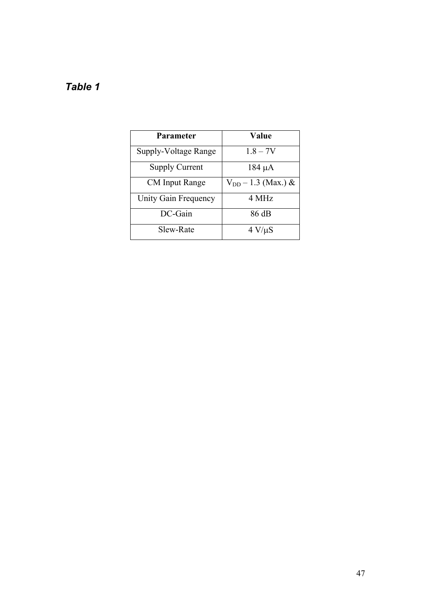## *Table 1*

| Parameter             | Value                   |
|-----------------------|-------------------------|
| Supply-Voltage Range  | $1.8 - 7V$              |
| <b>Supply Current</b> | $184 \mu A$             |
| <b>CM</b> Input Range | $V_{DD} - 1.3$ (Max.) & |
| Unity Gain Frequency  | 4 MHz                   |
| DC-Gain               | 86 dB                   |
| Slew-Rate             | $4 V/\mu S$             |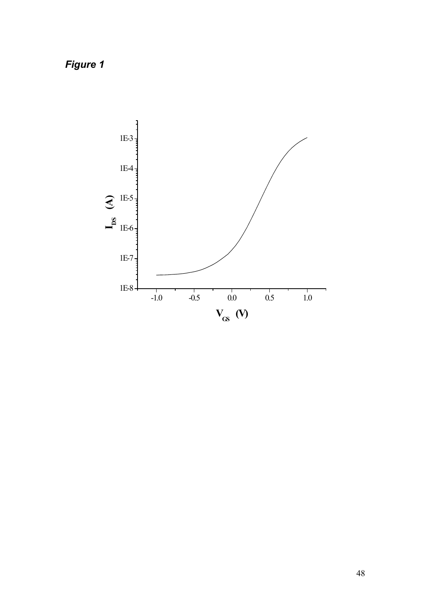*Figure 1*

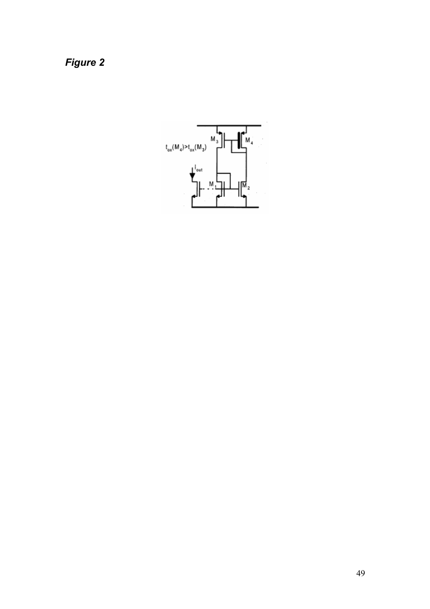*Figure 2*

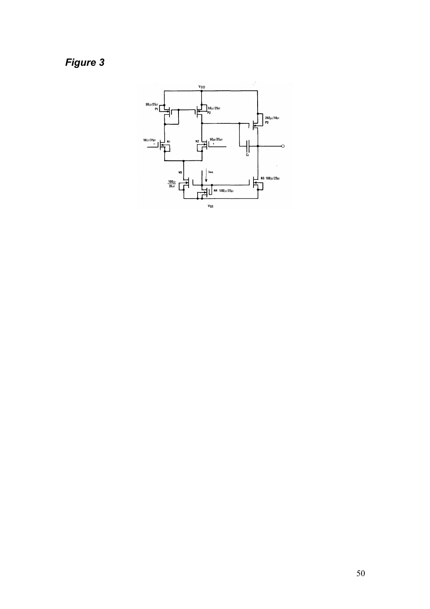Figure 3

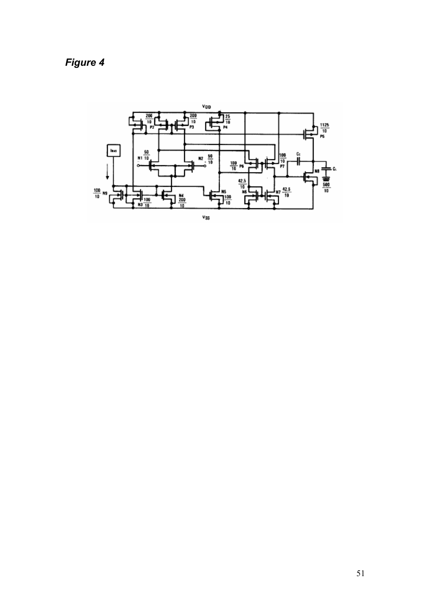*Figure 4*

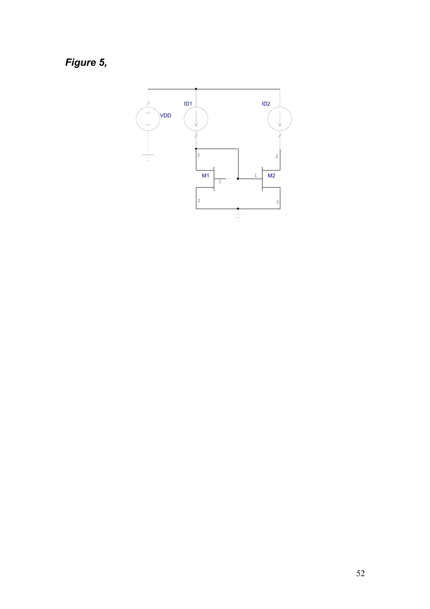*Figure 5,* 

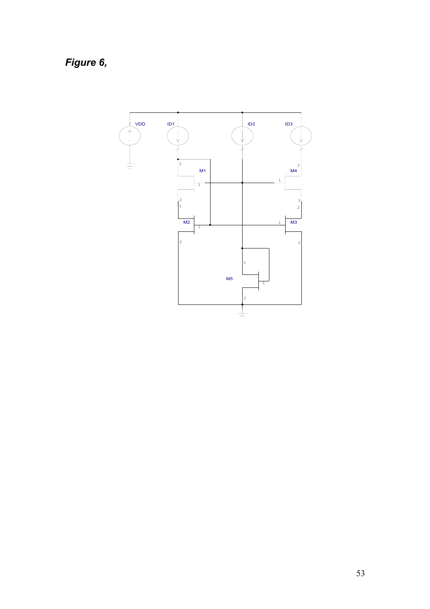*Figure 6,* 

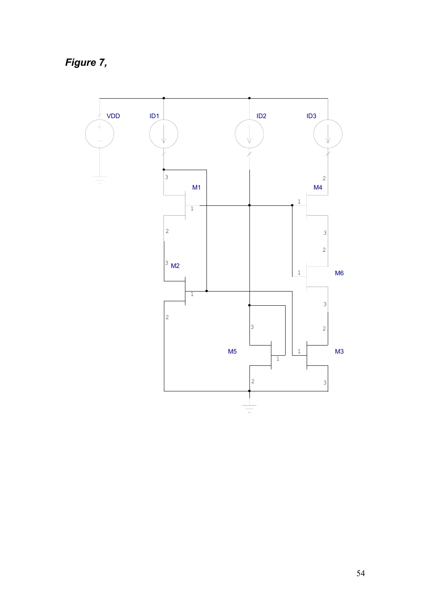*Figure 7,* 

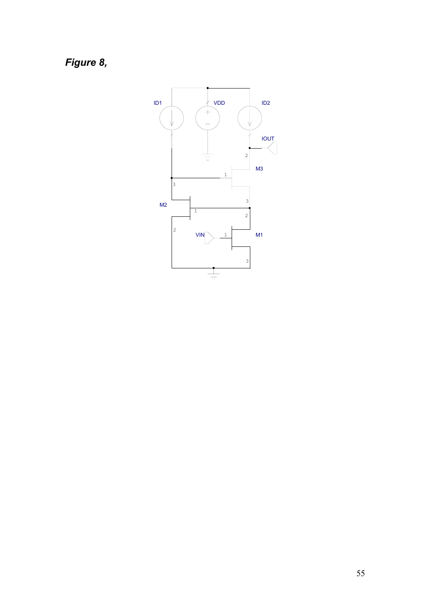*Figure 8,* 

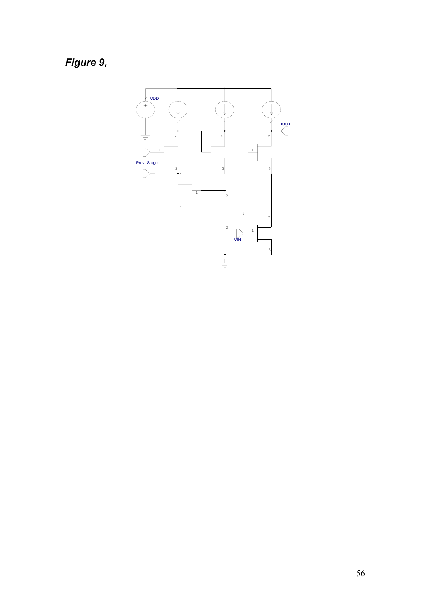*Figure 9,* 

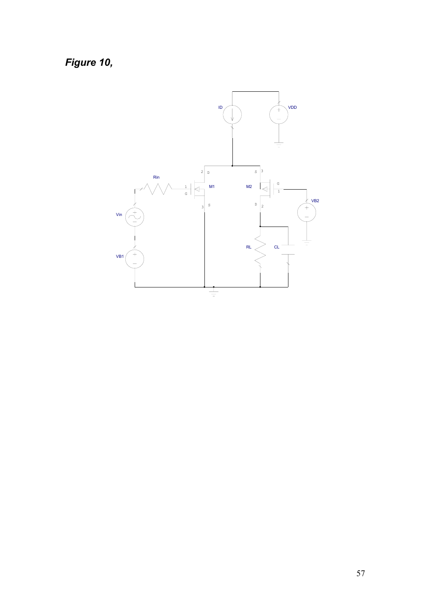*Figure 10,* 

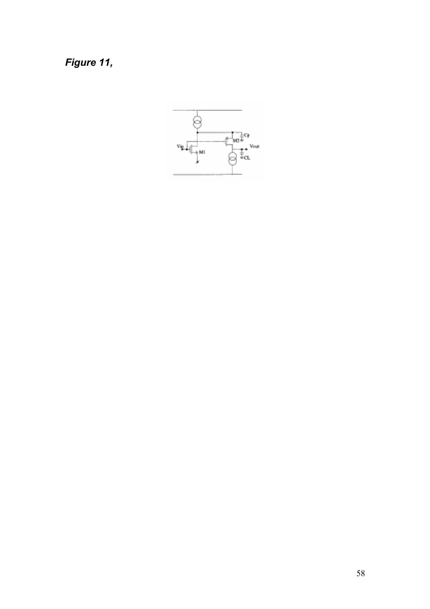Figure 11,

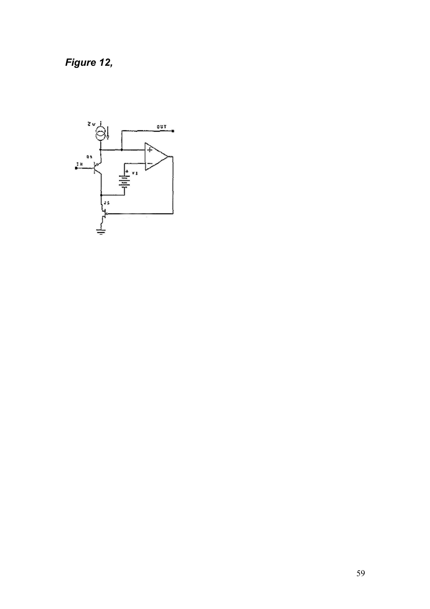*Figure 12,* 

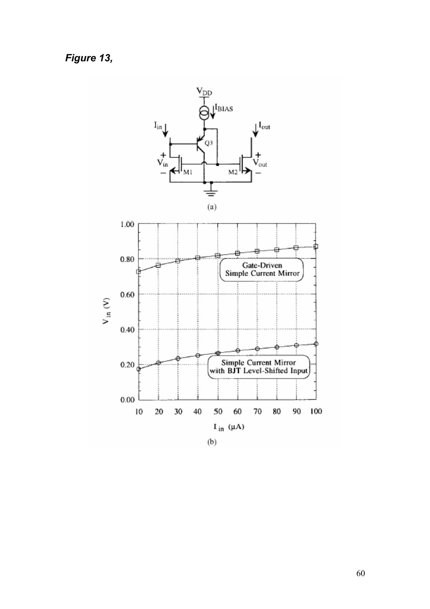Figure 13,

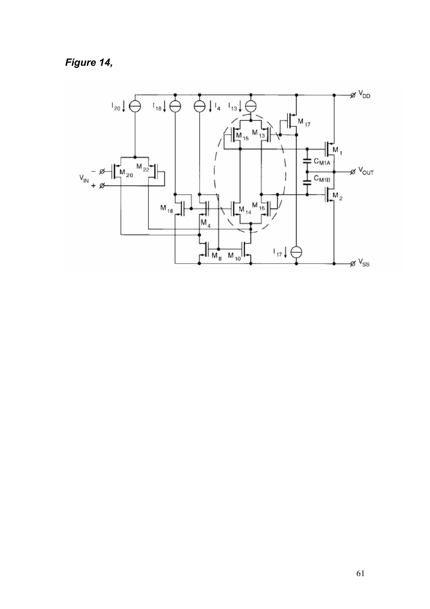Figure 14,

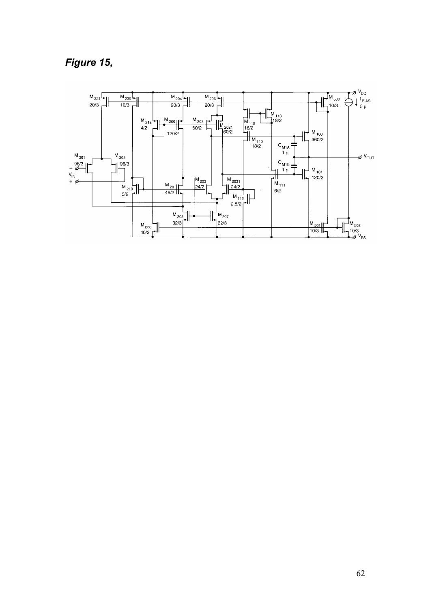## Figure 15,

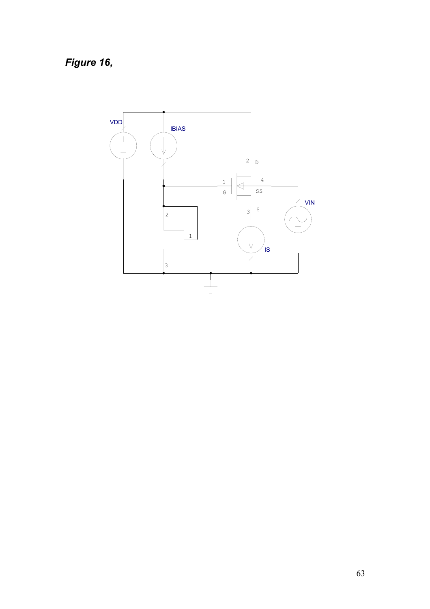Figure 16,

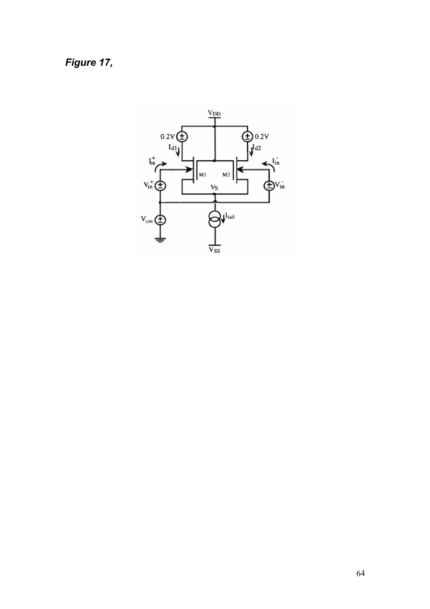*Figure 17,* 

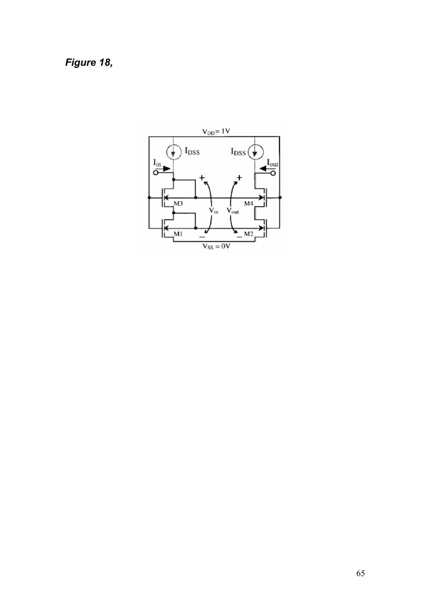*Figure 18,* 

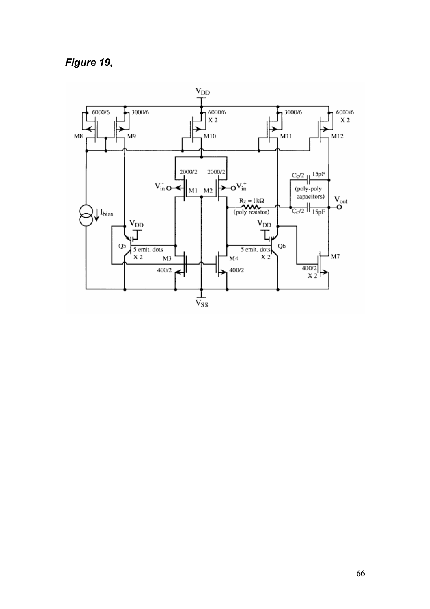*Figure 19,* 

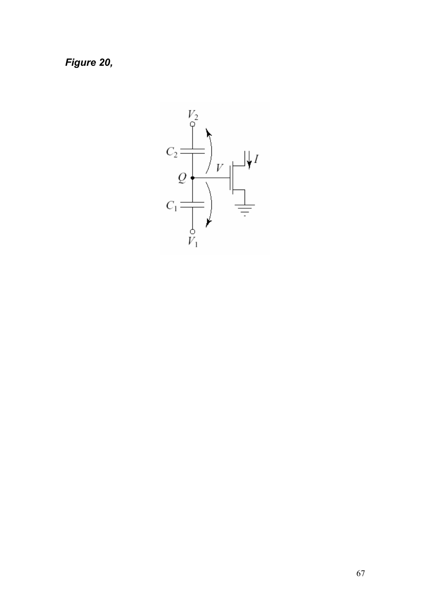*Figure 20,* 

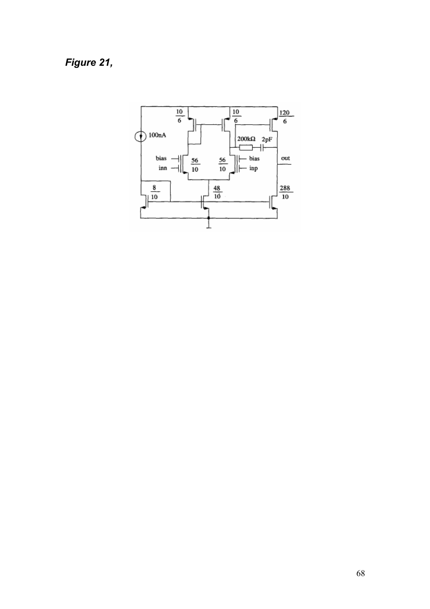## *Figure 21,*

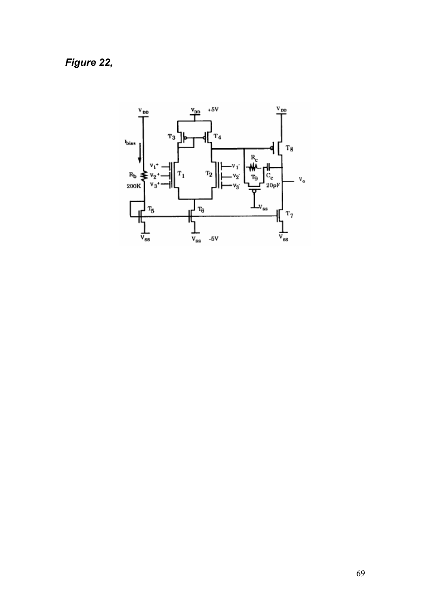# *Figure 22,*

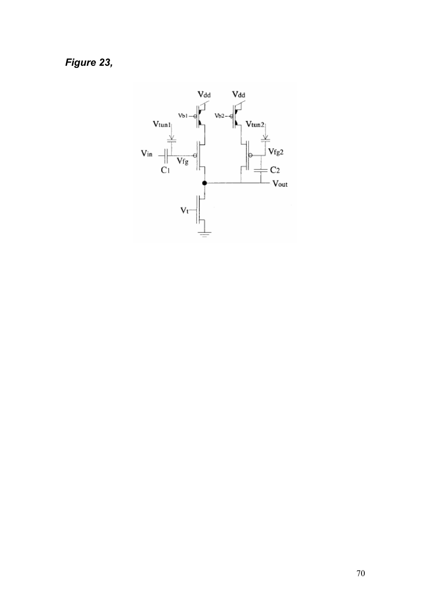Figure 23,

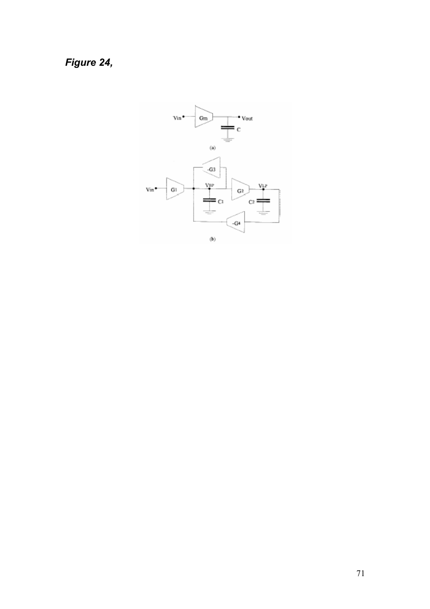# Figure 24,

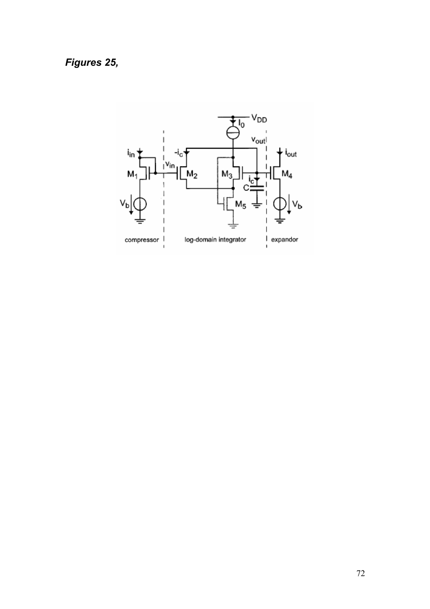*Figures 25,* 

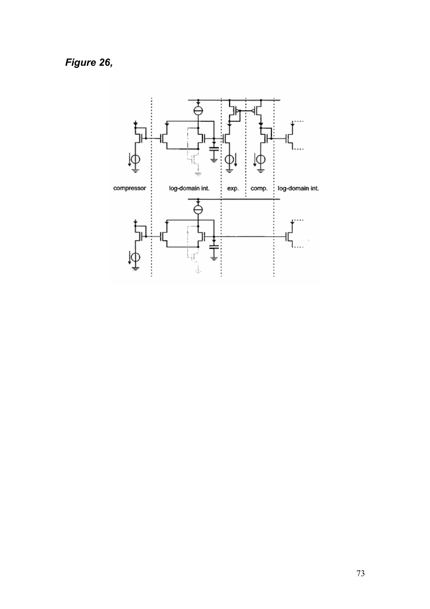Figure 26,